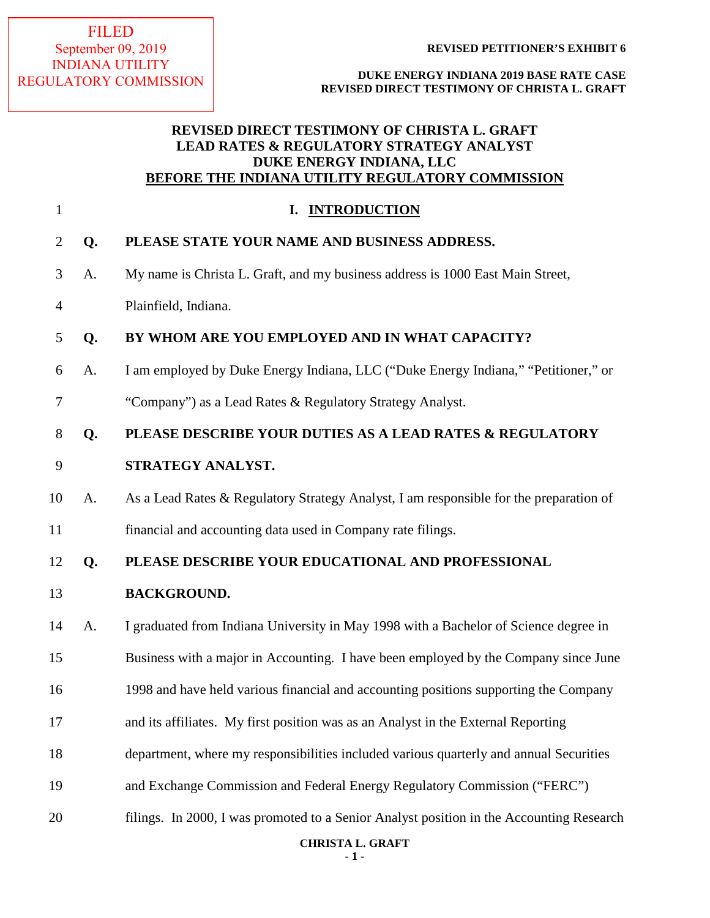### FILED September 09, 2019 INDIANA UTILITY REGULATORY COMMISSION

**REVISED PETITIONER'S EXHIBIT 6**

**DUKE ENERGY INDIANA 2019 BASE RATE CASE REVISED DIRECT TESTIMONY OF CHRISTA L. GRAFT**

## **REVISED DIRECT TESTIMONY OF CHRISTA L. GRAFT LEAD RATES & REGULATORY STRATEGY ANALYST DUKE ENERGY INDIANA, LLC BEFORE THE INDIANA UTILITY REGULATORY COMMISSION**

| $\mathbf{1}$   |    | I. INTRODUCTION                                                                          |
|----------------|----|------------------------------------------------------------------------------------------|
| $\overline{2}$ | Q. | PLEASE STATE YOUR NAME AND BUSINESS ADDRESS.                                             |
| 3              | A. | My name is Christa L. Graft, and my business address is 1000 East Main Street,           |
| $\overline{4}$ |    | Plainfield, Indiana.                                                                     |
| 5              | Q. | BY WHOM ARE YOU EMPLOYED AND IN WHAT CAPACITY?                                           |
| 6              | A. | I am employed by Duke Energy Indiana, LLC ("Duke Energy Indiana," "Petitioner," or       |
| 7              |    | "Company") as a Lead Rates & Regulatory Strategy Analyst.                                |
| $8\,$          | Q. | PLEASE DESCRIBE YOUR DUTIES AS A LEAD RATES & REGULATORY                                 |
| 9              |    | STRATEGY ANALYST.                                                                        |
| 10             | A. | As a Lead Rates & Regulatory Strategy Analyst, I am responsible for the preparation of   |
| 11             |    | financial and accounting data used in Company rate filings.                              |
| 12             | Q. | PLEASE DESCRIBE YOUR EDUCATIONAL AND PROFESSIONAL                                        |
| 13             |    | <b>BACKGROUND.</b>                                                                       |
| 14             | A. | I graduated from Indiana University in May 1998 with a Bachelor of Science degree in     |
| 15             |    | Business with a major in Accounting. I have been employed by the Company since June      |
| 16             |    | 1998 and have held various financial and accounting positions supporting the Company     |
| 17             |    | and its affiliates. My first position was as an Analyst in the External Reporting        |
| 18             |    | department, where my responsibilities included various quarterly and annual Securities   |
| 19             |    | and Exchange Commission and Federal Energy Regulatory Commission ("FERC")                |
| 20             |    | filings. In 2000, I was promoted to a Senior Analyst position in the Accounting Research |

# **CHRISTA L. GRAFT**

**- 1 -**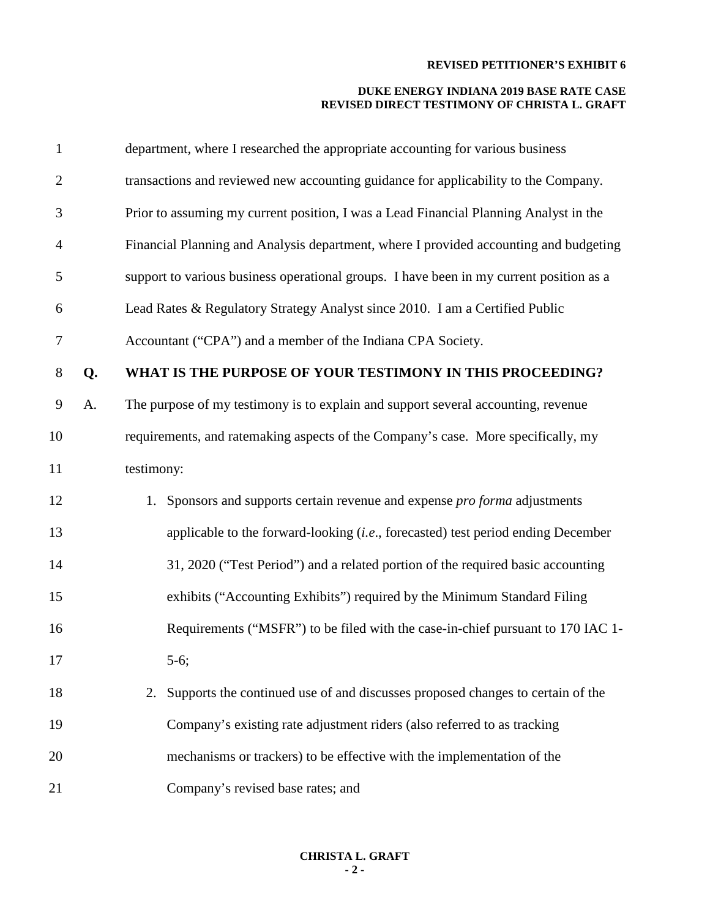| $\mathbf{1}$     |    | department, where I researched the appropriate accounting for various business          |
|------------------|----|-----------------------------------------------------------------------------------------|
| $\overline{2}$   |    | transactions and reviewed new accounting guidance for applicability to the Company.     |
| 3                |    | Prior to assuming my current position, I was a Lead Financial Planning Analyst in the   |
| $\overline{4}$   |    | Financial Planning and Analysis department, where I provided accounting and budgeting   |
| 5                |    | support to various business operational groups. I have been in my current position as a |
| 6                |    | Lead Rates & Regulatory Strategy Analyst since 2010. I am a Certified Public            |
| $\tau$           |    | Accountant ("CPA") and a member of the Indiana CPA Society.                             |
| 8                | Q. | WHAT IS THE PURPOSE OF YOUR TESTIMONY IN THIS PROCEEDING?                               |
| $\boldsymbol{9}$ | A. | The purpose of my testimony is to explain and support several accounting, revenue       |
| 10               |    | requirements, and ratemaking aspects of the Company's case. More specifically, my       |
| 11               |    | testimony:                                                                              |
| 12               |    | 1. Sponsors and supports certain revenue and expense <i>pro forma</i> adjustments       |
| 13               |    | applicable to the forward-looking $(i.e.,$ forecasted) test period ending December      |
| 14               |    | 31, 2020 ("Test Period") and a related portion of the required basic accounting         |
| 15               |    | exhibits ("Accounting Exhibits") required by the Minimum Standard Filing                |
| 16               |    | Requirements ("MSFR") to be filed with the case-in-chief pursuant to 170 IAC 1-         |
| 17               |    | $5-6;$                                                                                  |
| 18               |    | Supports the continued use of and discusses proposed changes to certain of the<br>2.    |
| 19               |    | Company's existing rate adjustment riders (also referred to as tracking                 |
| 20               |    | mechanisms or trackers) to be effective with the implementation of the                  |
| 21               |    | Company's revised base rates; and                                                       |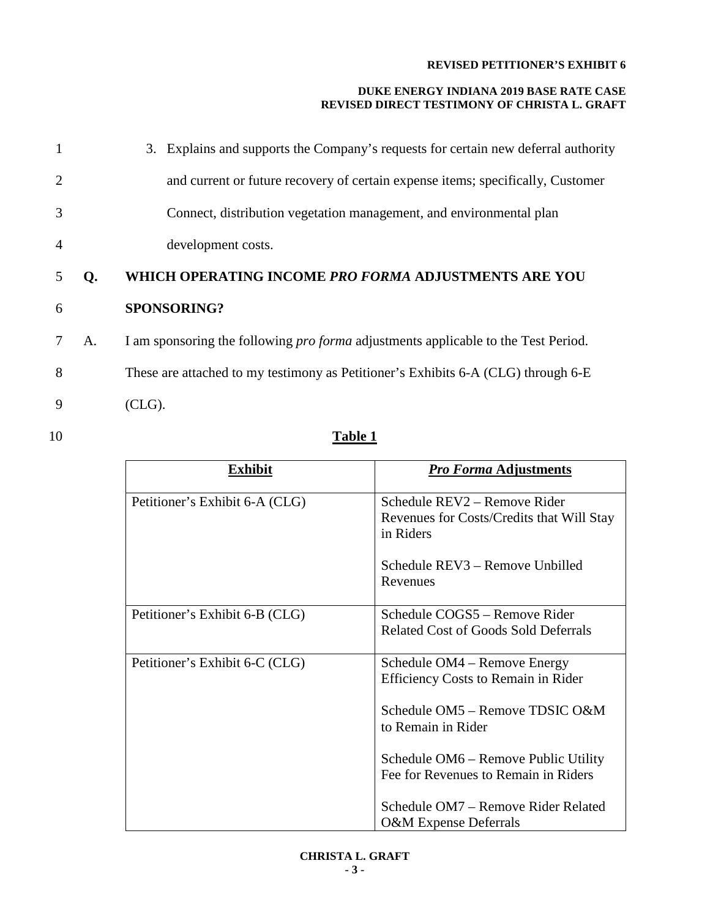#### **DUKE ENERGY INDIANA 2019 BASE RATE CASE REVISED DIRECT TESTIMONY OF CHRISTA L. GRAFT**

| 1              |    | 3. Explains and supports the Company's requests for certain new deferral authority        |
|----------------|----|-------------------------------------------------------------------------------------------|
| 2              |    | and current or future recovery of certain expense items; specifically, Customer           |
| 3              |    | Connect, distribution vegetation management, and environmental plan                       |
| $\overline{4}$ |    | development costs.                                                                        |
| 5              | Q. | WHICH OPERATING INCOME PRO FORMA ADJUSTMENTS ARE YOU                                      |
| 6              |    | <b>SPONSORING?</b>                                                                        |
|                | A. | I am sponsoring the following <i>pro forma</i> adjustments applicable to the Test Period. |
| 8              |    | These are attached to my testimony as Petitioner's Exhibits 6-A (CLG) through 6-E         |

9 (CLG).

# 10 **Table 1**

| <b>Exhibit</b>                 | <b>Pro Forma Adjustments</b>                                                                                                        |
|--------------------------------|-------------------------------------------------------------------------------------------------------------------------------------|
| Petitioner's Exhibit 6-A (CLG) | Schedule REV2 - Remove Rider<br>Revenues for Costs/Credits that Will Stay<br>in Riders                                              |
|                                | Schedule REV3 – Remove Unbilled<br>Revenues                                                                                         |
| Petitioner's Exhibit 6-B (CLG) | Schedule COGS5 – Remove Rider<br><b>Related Cost of Goods Sold Deferrals</b>                                                        |
| Petitioner's Exhibit 6-C (CLG) | Schedule OM4 – Remove Energy<br><b>Efficiency Costs to Remain in Rider</b><br>Schedule OM5 – Remove TDSIC O&M<br>to Remain in Rider |
|                                | Schedule OM6 – Remove Public Utility<br>Fee for Revenues to Remain in Riders                                                        |
|                                | Schedule OM7 – Remove Rider Related<br><b>O&amp;M</b> Expense Deferrals                                                             |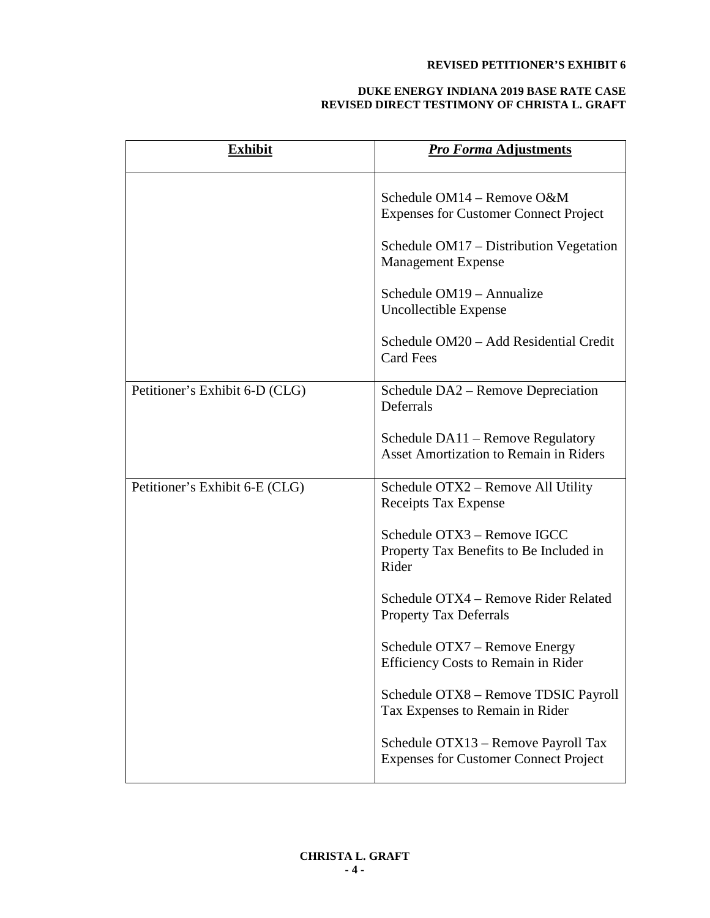| Exhibit                        | <b>Pro Forma Adjustments</b>                                                                                                                                                                                                                                                                                                                                              |
|--------------------------------|---------------------------------------------------------------------------------------------------------------------------------------------------------------------------------------------------------------------------------------------------------------------------------------------------------------------------------------------------------------------------|
|                                | Schedule OM14 - Remove O&M<br><b>Expenses for Customer Connect Project</b><br>Schedule OM17 – Distribution Vegetation<br><b>Management Expense</b><br>Schedule OM19 – Annualize<br>Uncollectible Expense<br>Schedule OM20 - Add Residential Credit<br><b>Card Fees</b>                                                                                                    |
| Petitioner's Exhibit 6-D (CLG) | Schedule DA2 – Remove Depreciation<br>Deferrals<br>Schedule DA11 - Remove Regulatory<br>Asset Amortization to Remain in Riders                                                                                                                                                                                                                                            |
| Petitioner's Exhibit 6-E (CLG) | Schedule OTX2 – Remove All Utility<br>Receipts Tax Expense<br>Schedule OTX3 - Remove IGCC<br>Property Tax Benefits to Be Included in<br>Rider<br>Schedule OTX4 – Remove Rider Related<br><b>Property Tax Deferrals</b><br>Schedule OTX7 – Remove Energy<br>Efficiency Costs to Remain in Rider<br>Schedule OTX8 - Remove TDSIC Payroll<br>Tax Expenses to Remain in Rider |
|                                | Schedule OTX13 - Remove Payroll Tax<br><b>Expenses for Customer Connect Project</b>                                                                                                                                                                                                                                                                                       |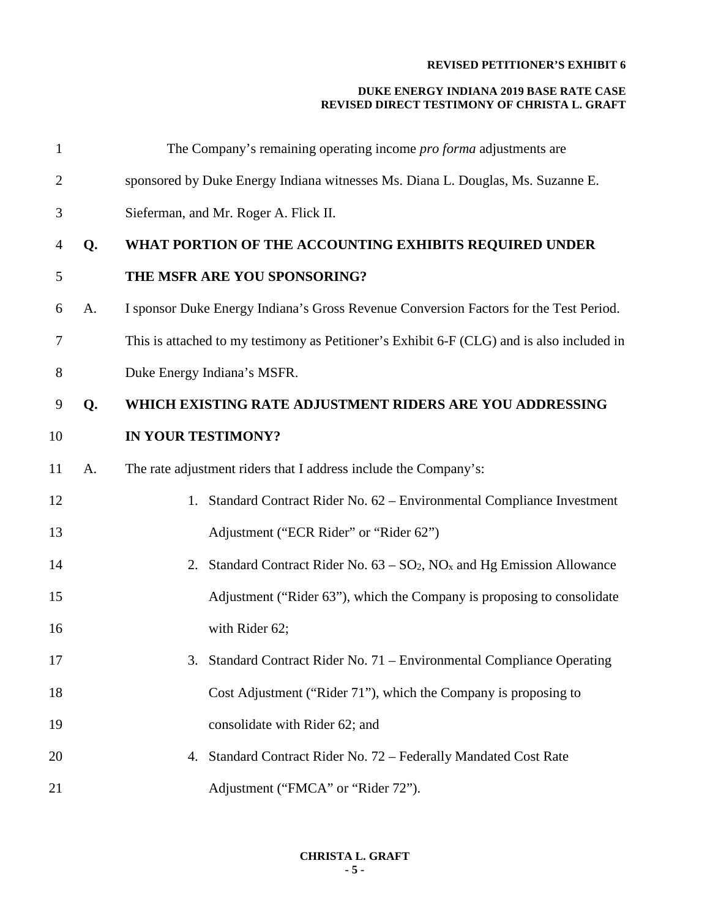| $\mathbf{1}$   |    | The Company's remaining operating income <i>pro forma</i> adjustments are                  |
|----------------|----|--------------------------------------------------------------------------------------------|
| $\overline{2}$ |    | sponsored by Duke Energy Indiana witnesses Ms. Diana L. Douglas, Ms. Suzanne E.            |
| 3              |    | Sieferman, and Mr. Roger A. Flick II.                                                      |
| 4              | Q. | WHAT PORTION OF THE ACCOUNTING EXHIBITS REQUIRED UNDER                                     |
| 5              |    | THE MSFR ARE YOU SPONSORING?                                                               |
| 6              | A. | I sponsor Duke Energy Indiana's Gross Revenue Conversion Factors for the Test Period.      |
| 7              |    | This is attached to my testimony as Petitioner's Exhibit 6-F (CLG) and is also included in |
| 8              |    | Duke Energy Indiana's MSFR.                                                                |
| 9              | Q. | WHICH EXISTING RATE ADJUSTMENT RIDERS ARE YOU ADDRESSING                                   |
| 10             |    | IN YOUR TESTIMONY?                                                                         |
| 11             | A. | The rate adjustment riders that I address include the Company's:                           |
| 12             |    | Standard Contract Rider No. 62 - Environmental Compliance Investment<br>1.                 |
| 13             |    | Adjustment ("ECR Rider" or "Rider 62")                                                     |
| 14             |    | Standard Contract Rider No. $63 - SO_2$ , NO <sub>x</sub> and Hg Emission Allowance<br>2.  |
| 15             |    | Adjustment ("Rider 63"), which the Company is proposing to consolidate                     |
| 16             |    | with Rider 62;                                                                             |
| 17             |    | 3. Standard Contract Rider No. 71 – Environmental Compliance Operating                     |
| 18             |    | Cost Adjustment ("Rider 71"), which the Company is proposing to                            |
| 19             |    | consolidate with Rider 62; and                                                             |
| 20             |    | Standard Contract Rider No. 72 - Federally Mandated Cost Rate<br>4.                        |
| 21             |    | Adjustment ("FMCA" or "Rider 72").                                                         |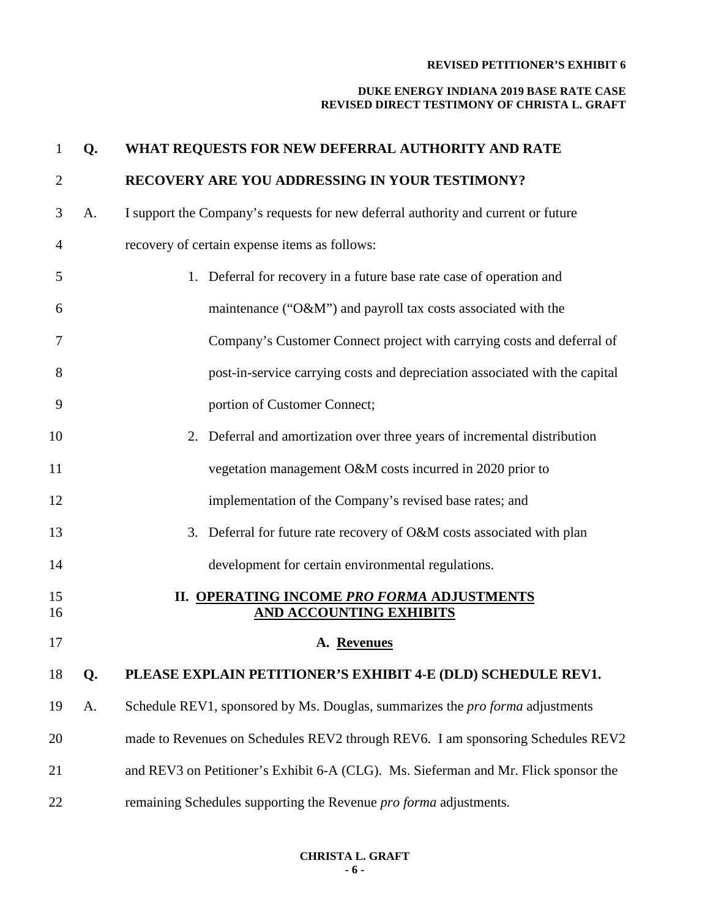| $\mathbf{1}$   | Q. | WHAT REQUESTS FOR NEW DEFERRAL AUTHORITY AND RATE                                    |
|----------------|----|--------------------------------------------------------------------------------------|
| $\overline{2}$ |    | RECOVERY ARE YOU ADDRESSING IN YOUR TESTIMONY?                                       |
| 3              | A. | I support the Company's requests for new deferral authority and current or future    |
| 4              |    | recovery of certain expense items as follows:                                        |
| 5              |    | 1. Deferral for recovery in a future base rate case of operation and                 |
| 6              |    | maintenance ("O&M") and payroll tax costs associated with the                        |
| 7              |    | Company's Customer Connect project with carrying costs and deferral of               |
| 8              |    | post-in-service carrying costs and depreciation associated with the capital          |
| 9              |    | portion of Customer Connect;                                                         |
| 10             |    | 2. Deferral and amortization over three years of incremental distribution            |
| 11             |    | vegetation management O&M costs incurred in 2020 prior to                            |
| 12             |    | implementation of the Company's revised base rates; and                              |
| 13             |    | 3. Deferral for future rate recovery of O&M costs associated with plan               |
| 14             |    | development for certain environmental regulations.                                   |
| 15<br>16       |    | <b>II. OPERATING INCOME PRO FORMA ADJUSTMENTS</b><br><b>AND ACCOUNTING EXHIBITS</b>  |
| 17             |    | A. Revenues                                                                          |
| 18             | Q. | PLEASE EXPLAIN PETITIONER'S EXHIBIT 4-E (DLD) SCHEDULE REV1.                         |
| 19             | A. | Schedule REV1, sponsored by Ms. Douglas, summarizes the <i>pro forma</i> adjustments |
| 20             |    | made to Revenues on Schedules REV2 through REV6. I am sponsoring Schedules REV2      |
| 21             |    | and REV3 on Petitioner's Exhibit 6-A (CLG). Ms. Sieferman and Mr. Flick sponsor the  |
| 22             |    | remaining Schedules supporting the Revenue <i>pro forma</i> adjustments.             |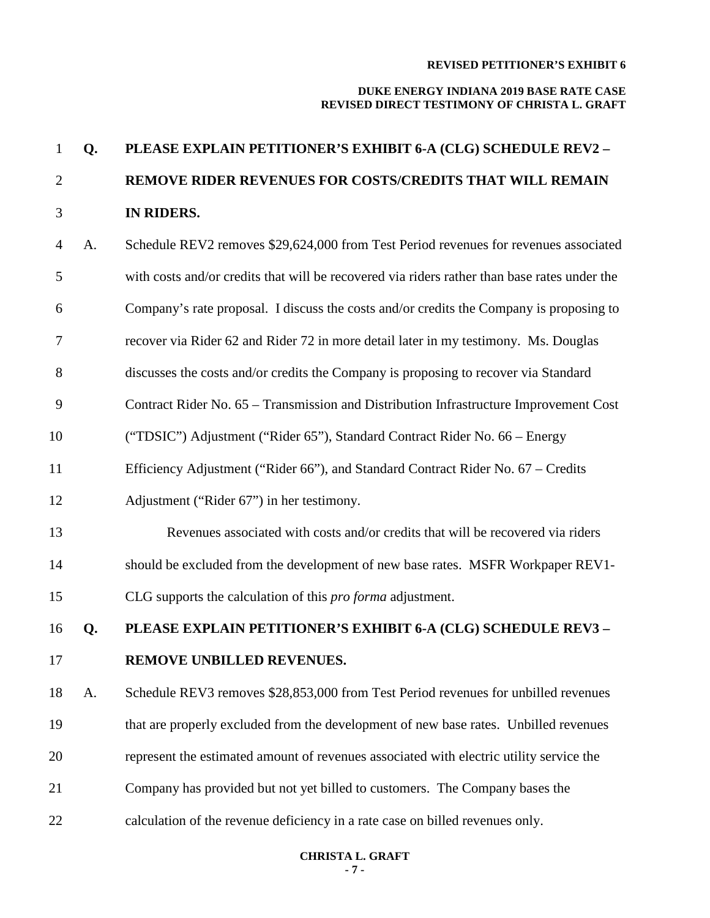#### **DUKE ENERGY INDIANA 2019 BASE RATE CASE REVISED DIRECT TESTIMONY OF CHRISTA L. GRAFT**

# **Q. PLEASE EXPLAIN PETITIONER'S EXHIBIT 6-A (CLG) SCHEDULE REV2 – REMOVE RIDER REVENUES FOR COSTS/CREDITS THAT WILL REMAIN IN RIDERS.**

- A. Schedule REV2 removes \$29,624,000 from Test Period revenues for revenues associated with costs and/or credits that will be recovered via riders rather than base rates under the Company's rate proposal. I discuss the costs and/or credits the Company is proposing to recover via Rider 62 and Rider 72 in more detail later in my testimony. Ms. Douglas discusses the costs and/or credits the Company is proposing to recover via Standard Contract Rider No. 65 – Transmission and Distribution Infrastructure Improvement Cost ("TDSIC") Adjustment ("Rider 65"), Standard Contract Rider No. 66 – Energy Efficiency Adjustment ("Rider 66"), and Standard Contract Rider No. 67 – Credits Adjustment ("Rider 67") in her testimony. Revenues associated with costs and/or credits that will be recovered via riders should be excluded from the development of new base rates. MSFR Workpaper REV1- CLG supports the calculation of this *pro forma* adjustment. **Q. PLEASE EXPLAIN PETITIONER'S EXHIBIT 6-A (CLG) SCHEDULE REV3 – REMOVE UNBILLED REVENUES.** A. Schedule REV3 removes \$28,853,000 from Test Period revenues for unbilled revenues that are properly excluded from the development of new base rates. Unbilled revenues represent the estimated amount of revenues associated with electric utility service the
- Company has provided but not yet billed to customers. The Company bases the
- calculation of the revenue deficiency in a rate case on billed revenues only.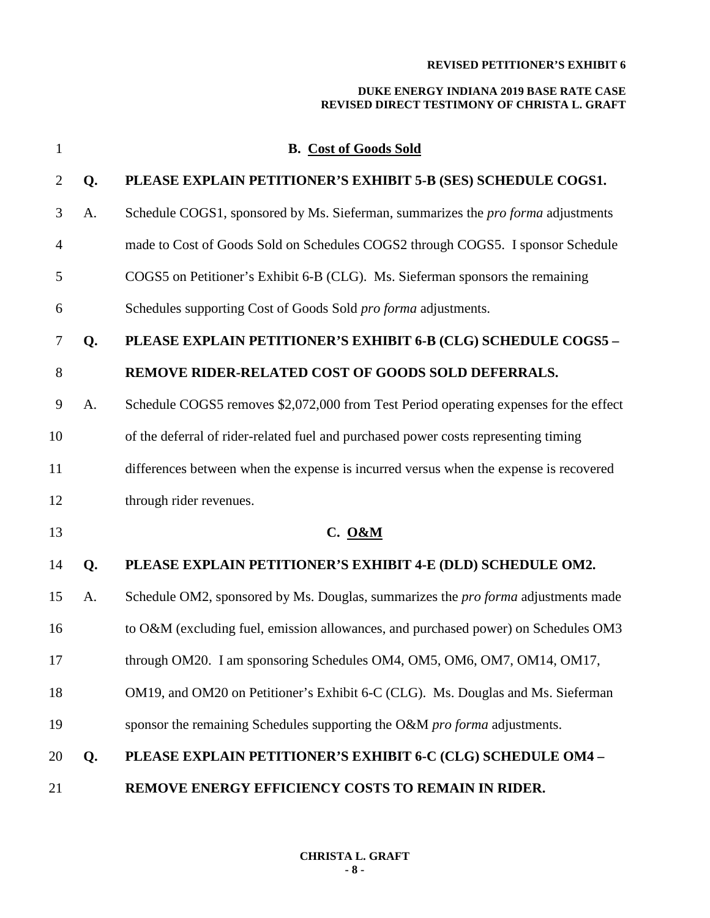| 1              |    | <b>B.</b> Cost of Goods Sold                                                             |
|----------------|----|------------------------------------------------------------------------------------------|
| $\overline{2}$ | Q. | PLEASE EXPLAIN PETITIONER'S EXHIBIT 5-B (SES) SCHEDULE COGS1.                            |
| 3              | A. | Schedule COGS1, sponsored by Ms. Sieferman, summarizes the <i>pro forma</i> adjustments  |
| 4              |    | made to Cost of Goods Sold on Schedules COGS2 through COGS5. I sponsor Schedule          |
| 5              |    | COGS5 on Petitioner's Exhibit 6-B (CLG). Ms. Sieferman sponsors the remaining            |
| 6              |    | Schedules supporting Cost of Goods Sold pro forma adjustments.                           |
| 7              | Q. | PLEASE EXPLAIN PETITIONER'S EXHIBIT 6-B (CLG) SCHEDULE COGS5 -                           |
| 8              |    | REMOVE RIDER-RELATED COST OF GOODS SOLD DEFERRALS.                                       |
| 9              | A. | Schedule COGS5 removes \$2,072,000 from Test Period operating expenses for the effect    |
| 10             |    | of the deferral of rider-related fuel and purchased power costs representing timing      |
| 11             |    | differences between when the expense is incurred versus when the expense is recovered    |
| 12             |    | through rider revenues.                                                                  |
| 13             |    | <b>C.</b> O&M                                                                            |
| 14             | Q. | PLEASE EXPLAIN PETITIONER'S EXHIBIT 4-E (DLD) SCHEDULE OM2.                              |
| 15             | A. | Schedule OM2, sponsored by Ms. Douglas, summarizes the <i>pro forma</i> adjustments made |
| 16             |    | to O&M (excluding fuel, emission allowances, and purchased power) on Schedules OM3       |
| 17             |    | through OM20. I am sponsoring Schedules OM4, OM5, OM6, OM7, OM14, OM17,                  |
| 18             |    | OM19, and OM20 on Petitioner's Exhibit 6-C (CLG). Ms. Douglas and Ms. Sieferman          |
| 19             |    | sponsor the remaining Schedules supporting the O&M <i>pro forma</i> adjustments.         |
| 20             | Q. | PLEASE EXPLAIN PETITIONER'S EXHIBIT 6-C (CLG) SCHEDULE OM4 -                             |
| 21             |    | REMOVE ENERGY EFFICIENCY COSTS TO REMAIN IN RIDER.                                       |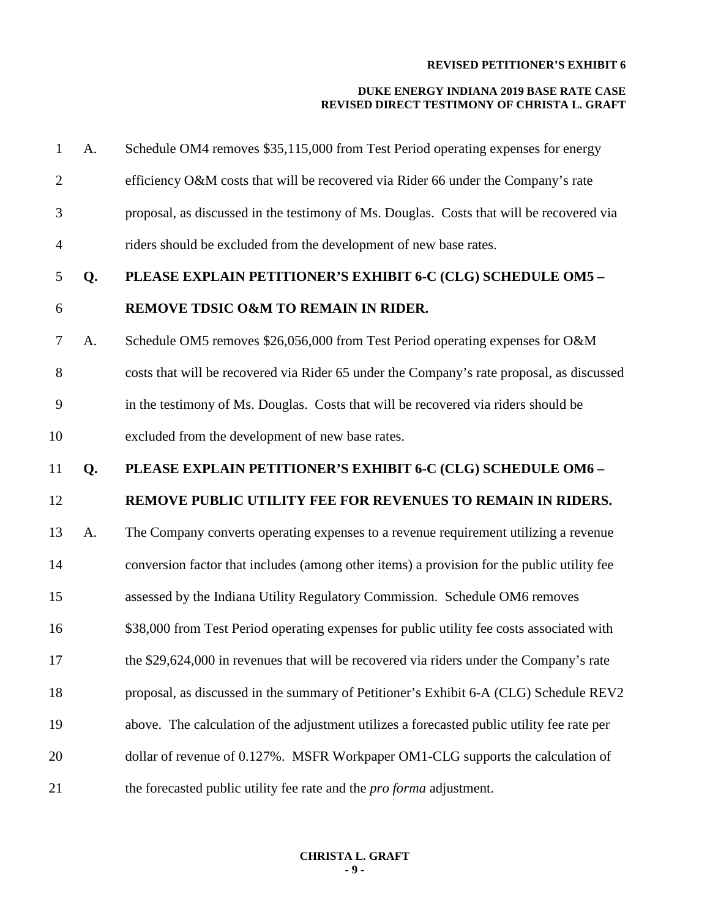| 1              | A. | Schedule OM4 removes \$35,115,000 from Test Period operating expenses for energy           |
|----------------|----|--------------------------------------------------------------------------------------------|
| $\overline{2}$ |    | efficiency O&M costs that will be recovered via Rider 66 under the Company's rate          |
| 3              |    | proposal, as discussed in the testimony of Ms. Douglas. Costs that will be recovered via   |
| $\overline{4}$ |    | riders should be excluded from the development of new base rates.                          |
| 5              | Q. | PLEASE EXPLAIN PETITIONER'S EXHIBIT 6-C (CLG) SCHEDULE OM5 -                               |
| 6              |    | REMOVE TDSIC O&M TO REMAIN IN RIDER.                                                       |
| $\tau$         | A. | Schedule OM5 removes \$26,056,000 from Test Period operating expenses for O&M              |
| 8              |    | costs that will be recovered via Rider 65 under the Company's rate proposal, as discussed  |
| 9              |    | in the testimony of Ms. Douglas. Costs that will be recovered via riders should be         |
| 10             |    | excluded from the development of new base rates.                                           |
| 11             | Q. | PLEASE EXPLAIN PETITIONER'S EXHIBIT 6-C (CLG) SCHEDULE OM6-                                |
| 12             |    | REMOVE PUBLIC UTILITY FEE FOR REVENUES TO REMAIN IN RIDERS.                                |
| 13             | A. | The Company converts operating expenses to a revenue requirement utilizing a revenue       |
| 14             |    | conversion factor that includes (among other items) a provision for the public utility fee |
| 15             |    | assessed by the Indiana Utility Regulatory Commission. Schedule OM6 removes                |
| 16             |    | \$38,000 from Test Period operating expenses for public utility fee costs associated with  |
| 17             |    | the \$29,624,000 in revenues that will be recovered via riders under the Company's rate    |
| 18             |    | proposal, as discussed in the summary of Petitioner's Exhibit 6-A (CLG) Schedule REV2      |
| 19             |    | above. The calculation of the adjustment utilizes a forecasted public utility fee rate per |
| 20             |    | dollar of revenue of 0.127%. MSFR Workpaper OM1-CLG supports the calculation of            |
| 21             |    | the forecasted public utility fee rate and the <i>pro forma</i> adjustment.                |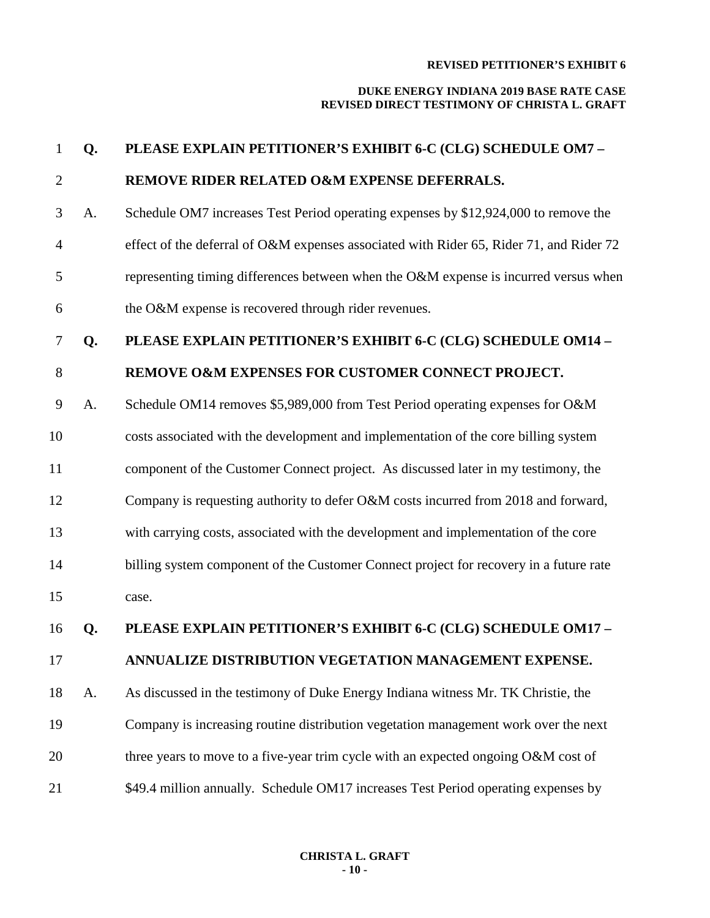| $\mathbf{1}$   | Q. | PLEASE EXPLAIN PETITIONER'S EXHIBIT 6-C (CLG) SCHEDULE OM7-                             |
|----------------|----|-----------------------------------------------------------------------------------------|
| $\overline{2}$ |    | REMOVE RIDER RELATED O&M EXPENSE DEFERRALS.                                             |
| 3              | A. | Schedule OM7 increases Test Period operating expenses by \$12,924,000 to remove the     |
| $\overline{4}$ |    | effect of the deferral of O&M expenses associated with Rider 65, Rider 71, and Rider 72 |
| 5              |    | representing timing differences between when the O&M expense is incurred versus when    |
| 6              |    | the O&M expense is recovered through rider revenues.                                    |
| 7              | Q. | PLEASE EXPLAIN PETITIONER'S EXHIBIT 6-C (CLG) SCHEDULE OM14 -                           |
| 8              |    | REMOVE O&M EXPENSES FOR CUSTOMER CONNECT PROJECT.                                       |
| 9              | A. | Schedule OM14 removes \$5,989,000 from Test Period operating expenses for O&M           |
| 10             |    | costs associated with the development and implementation of the core billing system     |
| 11             |    | component of the Customer Connect project. As discussed later in my testimony, the      |
| 12             |    | Company is requesting authority to defer O&M costs incurred from 2018 and forward,      |
| 13             |    | with carrying costs, associated with the development and implementation of the core     |
| 14             |    | billing system component of the Customer Connect project for recovery in a future rate  |
| 15             |    | case.                                                                                   |
| 16             | Q. | PLEASE EXPLAIN PETITIONER'S EXHIBIT 6-C (CLG) SCHEDULE OM17 -                           |
| 17             |    | ANNUALIZE DISTRIBUTION VEGETATION MANAGEMENT EXPENSE.                                   |
| 18             | A. | As discussed in the testimony of Duke Energy Indiana witness Mr. TK Christie, the       |
| 19             |    | Company is increasing routine distribution vegetation management work over the next     |
| 20             |    | three years to move to a five-year trim cycle with an expected ongoing O&M cost of      |
| 21             |    | \$49.4 million annually. Schedule OM17 increases Test Period operating expenses by      |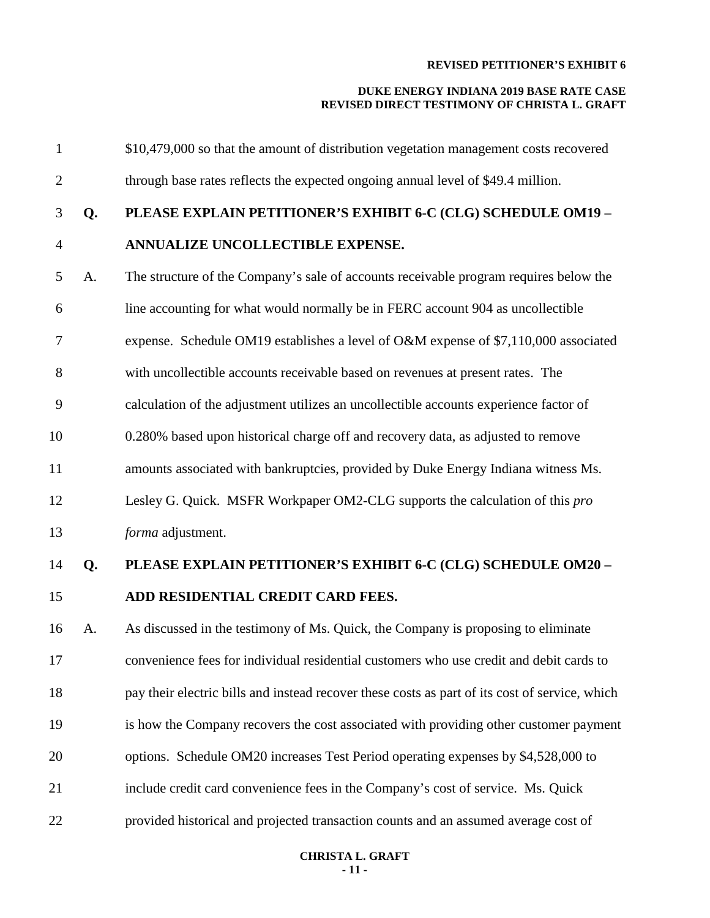| $\mathbf{1}$   |    | \$10,479,000 so that the amount of distribution vegetation management costs recovered          |
|----------------|----|------------------------------------------------------------------------------------------------|
| $\mathbf{2}$   |    | through base rates reflects the expected ongoing annual level of \$49.4 million.               |
| 3              | Q. | PLEASE EXPLAIN PETITIONER'S EXHIBIT 6-C (CLG) SCHEDULE OM19 -                                  |
| $\overline{4}$ |    | ANNUALIZE UNCOLLECTIBLE EXPENSE.                                                               |
| 5              | A. | The structure of the Company's sale of accounts receivable program requires below the          |
| 6              |    | line accounting for what would normally be in FERC account 904 as uncollectible                |
| 7              |    | expense. Schedule OM19 establishes a level of O&M expense of \$7,110,000 associated            |
| 8              |    | with uncollectible accounts receivable based on revenues at present rates. The                 |
| 9              |    | calculation of the adjustment utilizes an uncollectible accounts experience factor of          |
| 10             |    | 0.280% based upon historical charge off and recovery data, as adjusted to remove               |
| 11             |    | amounts associated with bankruptcies, provided by Duke Energy Indiana witness Ms.              |
| 12             |    | Lesley G. Quick. MSFR Workpaper OM2-CLG supports the calculation of this pro                   |
| 13             |    | forma adjustment.                                                                              |
| 14             | Q. | PLEASE EXPLAIN PETITIONER'S EXHIBIT 6-C (CLG) SCHEDULE OM20 -                                  |
| 15             |    | ADD RESIDENTIAL CREDIT CARD FEES.                                                              |
| 16             | A. | As discussed in the testimony of Ms. Quick, the Company is proposing to eliminate              |
| 17             |    | convenience fees for individual residential customers who use credit and debit cards to        |
| 18             |    | pay their electric bills and instead recover these costs as part of its cost of service, which |
| 19             |    | is how the Company recovers the cost associated with providing other customer payment          |
| 20             |    | options. Schedule OM20 increases Test Period operating expenses by \$4,528,000 to              |
| 21             |    | include credit card convenience fees in the Company's cost of service. Ms. Quick               |
| 22             |    | provided historical and projected transaction counts and an assumed average cost of            |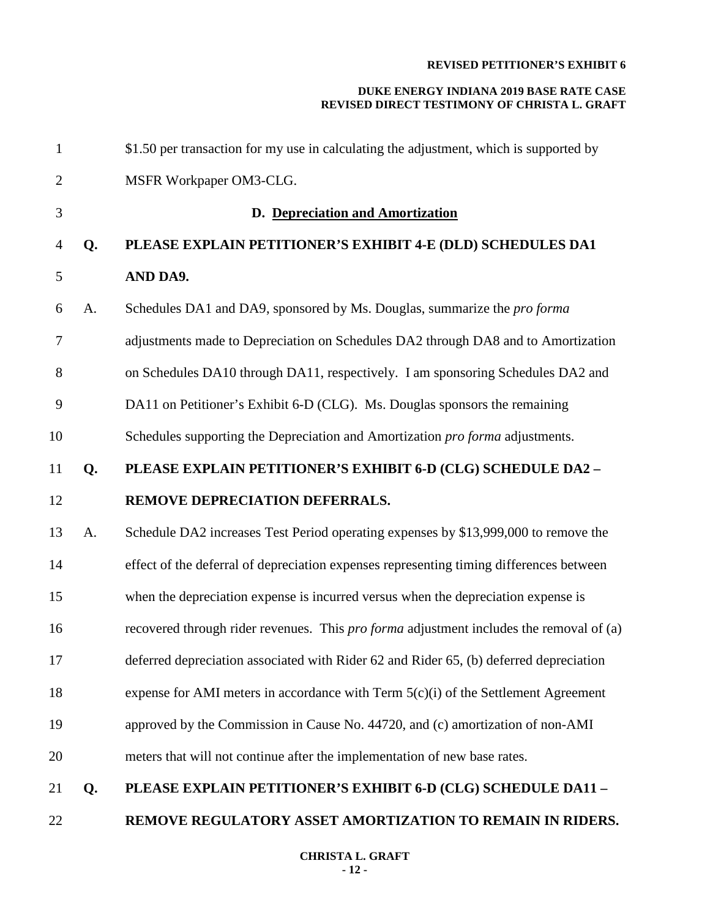| $\mathbf{1}$   |    | \$1.50 per transaction for my use in calculating the adjustment, which is supported by         |
|----------------|----|------------------------------------------------------------------------------------------------|
| $\overline{2}$ |    | MSFR Workpaper OM3-CLG.                                                                        |
| 3              |    | D. Depreciation and Amortization                                                               |
| 4              | Q. | PLEASE EXPLAIN PETITIONER'S EXHIBIT 4-E (DLD) SCHEDULES DA1                                    |
| 5              |    | AND DA9.                                                                                       |
| 6              | A. | Schedules DA1 and DA9, sponsored by Ms. Douglas, summarize the pro forma                       |
| 7              |    | adjustments made to Depreciation on Schedules DA2 through DA8 and to Amortization              |
| 8              |    | on Schedules DA10 through DA11, respectively. I am sponsoring Schedules DA2 and                |
| 9              |    | DA11 on Petitioner's Exhibit 6-D (CLG). Ms. Douglas sponsors the remaining                     |
| 10             |    | Schedules supporting the Depreciation and Amortization pro forma adjustments.                  |
| 11             | Q. | PLEASE EXPLAIN PETITIONER'S EXHIBIT 6-D (CLG) SCHEDULE DA2 -                                   |
| 12             |    | REMOVE DEPRECIATION DEFERRALS.                                                                 |
| 13             | A. | Schedule DA2 increases Test Period operating expenses by \$13,999,000 to remove the            |
| 14             |    | effect of the deferral of depreciation expenses representing timing differences between        |
| 15             |    | when the depreciation expense is incurred versus when the depreciation expense is              |
| 16             |    | recovered through rider revenues. This <i>pro forma</i> adjustment includes the removal of (a) |
| 17             |    | deferred depreciation associated with Rider 62 and Rider 65, (b) deferred depreciation         |
| 18             |    | expense for AMI meters in accordance with Term $5(c)(i)$ of the Settlement Agreement           |
| 19             |    | approved by the Commission in Cause No. 44720, and (c) amortization of non-AMI                 |
| 20             |    | meters that will not continue after the implementation of new base rates.                      |
| 21             | Q. | PLEASE EXPLAIN PETITIONER'S EXHIBIT 6-D (CLG) SCHEDULE DA11-                                   |
| 22             |    | REMOVE REGULATORY ASSET AMORTIZATION TO REMAIN IN RIDERS.                                      |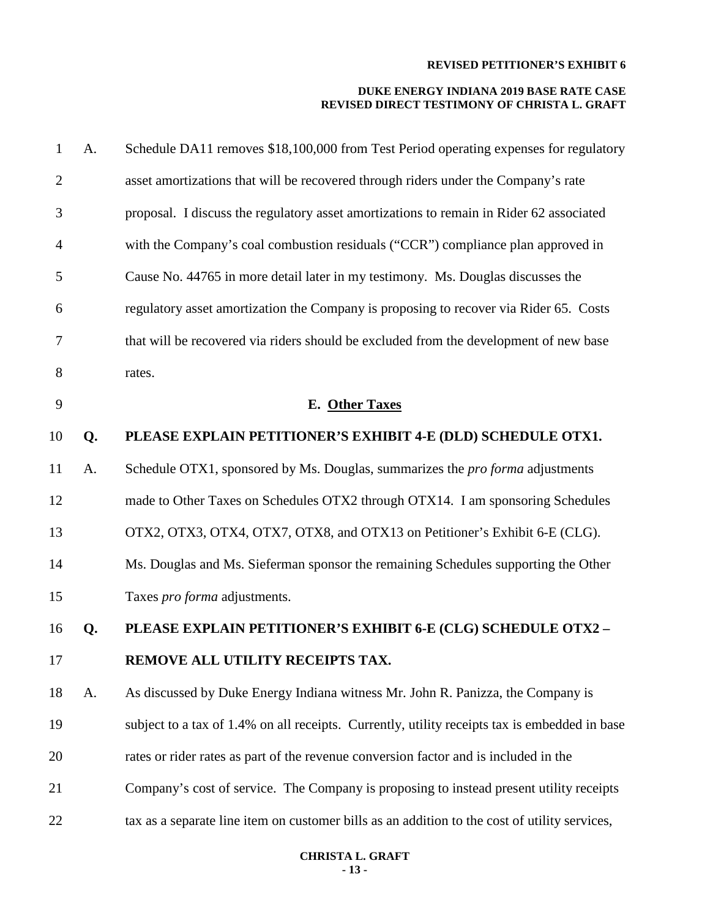| $\mathbf{1}$   | A. | Schedule DA11 removes \$18,100,000 from Test Period operating expenses for regulatory         |
|----------------|----|-----------------------------------------------------------------------------------------------|
| $\overline{2}$ |    | asset amortizations that will be recovered through riders under the Company's rate            |
| 3              |    | proposal. I discuss the regulatory asset amortizations to remain in Rider 62 associated       |
| 4              |    | with the Company's coal combustion residuals ("CCR") compliance plan approved in              |
| 5              |    | Cause No. 44765 in more detail later in my testimony. Ms. Douglas discusses the               |
| 6              |    | regulatory asset amortization the Company is proposing to recover via Rider 65. Costs         |
| 7              |    | that will be recovered via riders should be excluded from the development of new base         |
| 8              |    | rates.                                                                                        |
| 9              |    | E. Other Taxes                                                                                |
| 10             | Q. | PLEASE EXPLAIN PETITIONER'S EXHIBIT 4-E (DLD) SCHEDULE OTX1.                                  |
| 11             | A. | Schedule OTX1, sponsored by Ms. Douglas, summarizes the <i>pro forma</i> adjustments          |
| 12             |    | made to Other Taxes on Schedules OTX2 through OTX14. I am sponsoring Schedules                |
| 13             |    | OTX2, OTX3, OTX4, OTX7, OTX8, and OTX13 on Petitioner's Exhibit 6-E (CLG).                    |
| 14             |    | Ms. Douglas and Ms. Sieferman sponsor the remaining Schedules supporting the Other            |
| 15             |    | Taxes pro forma adjustments.                                                                  |
| 16             | Q. | PLEASE EXPLAIN PETITIONER'S EXHIBIT 6-E (CLG) SCHEDULE OTX2 -                                 |
| 17             |    | REMOVE ALL UTILITY RECEIPTS TAX.                                                              |
| 18             | A. | As discussed by Duke Energy Indiana witness Mr. John R. Panizza, the Company is               |
| 19             |    | subject to a tax of 1.4% on all receipts. Currently, utility receipts tax is embedded in base |
| 20             |    | rates or rider rates as part of the revenue conversion factor and is included in the          |
| 21             |    | Company's cost of service. The Company is proposing to instead present utility receipts       |
| 22             |    | tax as a separate line item on customer bills as an addition to the cost of utility services, |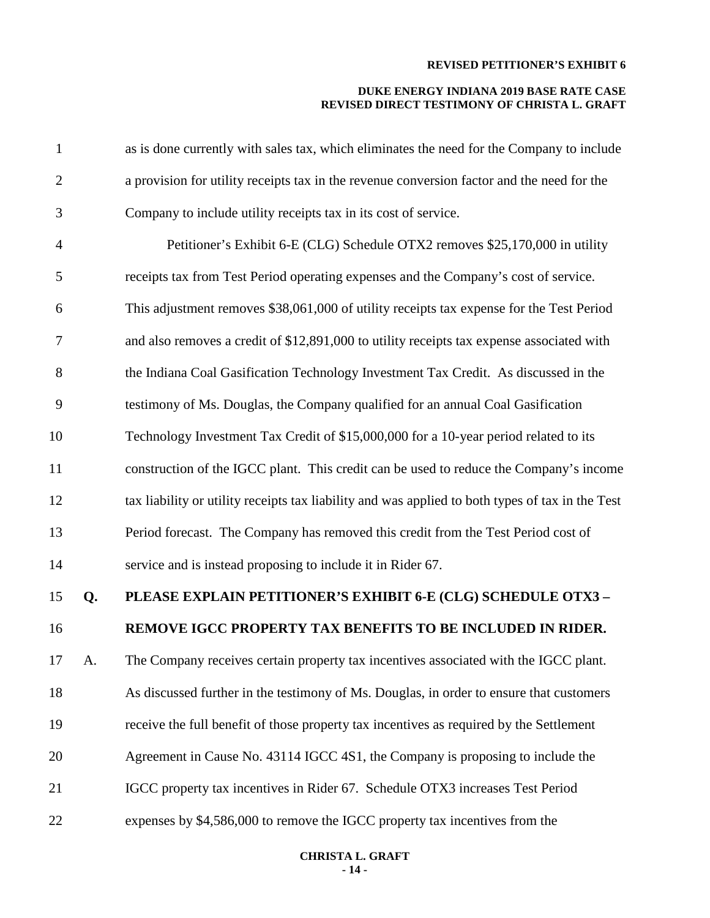| $\mathbf{1}$   |    | as is done currently with sales tax, which eliminates the need for the Company to include        |
|----------------|----|--------------------------------------------------------------------------------------------------|
| $\mathbf{2}$   |    | a provision for utility receipts tax in the revenue conversion factor and the need for the       |
| 3              |    | Company to include utility receipts tax in its cost of service.                                  |
| $\overline{4}$ |    | Petitioner's Exhibit 6-E (CLG) Schedule OTX2 removes \$25,170,000 in utility                     |
| 5              |    | receipts tax from Test Period operating expenses and the Company's cost of service.              |
| 6              |    | This adjustment removes \$38,061,000 of utility receipts tax expense for the Test Period         |
| $\tau$         |    | and also removes a credit of \$12,891,000 to utility receipts tax expense associated with        |
| 8              |    | the Indiana Coal Gasification Technology Investment Tax Credit. As discussed in the              |
| 9              |    | testimony of Ms. Douglas, the Company qualified for an annual Coal Gasification                  |
| 10             |    | Technology Investment Tax Credit of \$15,000,000 for a 10-year period related to its             |
| 11             |    | construction of the IGCC plant. This credit can be used to reduce the Company's income           |
| 12             |    | tax liability or utility receipts tax liability and was applied to both types of tax in the Test |
| 13             |    | Period forecast. The Company has removed this credit from the Test Period cost of                |
| 14             |    | service and is instead proposing to include it in Rider 67.                                      |
| 15             | Q. | PLEASE EXPLAIN PETITIONER'S EXHIBIT 6-E (CLG) SCHEDULE OTX3 -                                    |
| 16             |    | REMOVE IGCC PROPERTY TAX BENEFITS TO BE INCLUDED IN RIDER.                                       |
| 17             | A. | The Company receives certain property tax incentives associated with the IGCC plant.             |
| 18             |    | As discussed further in the testimony of Ms. Douglas, in order to ensure that customers          |
| 19             |    | receive the full benefit of those property tax incentives as required by the Settlement          |
| 20             |    | Agreement in Cause No. 43114 IGCC 4S1, the Company is proposing to include the                   |
| 21             |    | IGCC property tax incentives in Rider 67. Schedule OTX3 increases Test Period                    |
| 22             |    | expenses by \$4,586,000 to remove the IGCC property tax incentives from the                      |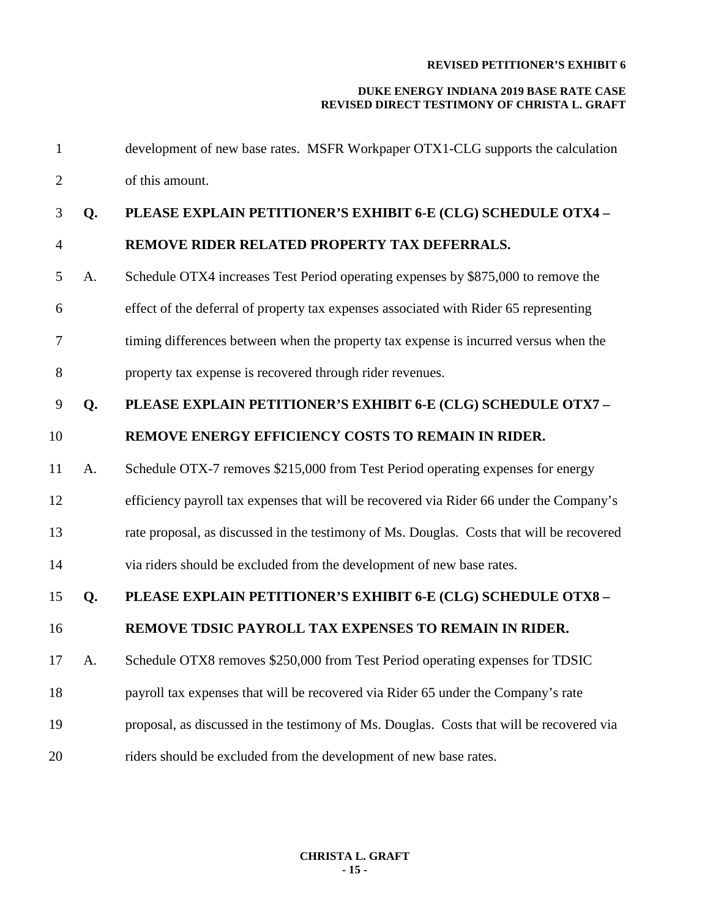| $\mathbf{1}$   |    | development of new base rates. MSFR Workpaper OTX1-CLG supports the calculation           |
|----------------|----|-------------------------------------------------------------------------------------------|
| $\overline{2}$ |    | of this amount.                                                                           |
| 3              | Q. | PLEASE EXPLAIN PETITIONER'S EXHIBIT 6-E (CLG) SCHEDULE OTX4 -                             |
| $\overline{4}$ |    | REMOVE RIDER RELATED PROPERTY TAX DEFERRALS.                                              |
| 5              | A. | Schedule OTX4 increases Test Period operating expenses by \$875,000 to remove the         |
| 6              |    | effect of the deferral of property tax expenses associated with Rider 65 representing     |
| $\tau$         |    | timing differences between when the property tax expense is incurred versus when the      |
| 8              |    | property tax expense is recovered through rider revenues.                                 |
| 9              | Q. | PLEASE EXPLAIN PETITIONER'S EXHIBIT 6-E (CLG) SCHEDULE OTX7-                              |
| 10             |    | REMOVE ENERGY EFFICIENCY COSTS TO REMAIN IN RIDER.                                        |
| 11             | A. | Schedule OTX-7 removes \$215,000 from Test Period operating expenses for energy           |
| 12             |    | efficiency payroll tax expenses that will be recovered via Rider 66 under the Company's   |
| 13             |    | rate proposal, as discussed in the testimony of Ms. Douglas. Costs that will be recovered |
| 14             |    | via riders should be excluded from the development of new base rates.                     |
| 15             | Q. | PLEASE EXPLAIN PETITIONER'S EXHIBIT 6-E (CLG) SCHEDULE OTX8-                              |
| 16             |    | REMOVE TDSIC PAYROLL TAX EXPENSES TO REMAIN IN RIDER.                                     |
| 17             | A. | Schedule OTX8 removes \$250,000 from Test Period operating expenses for TDSIC             |
| 18             |    | payroll tax expenses that will be recovered via Rider 65 under the Company's rate         |
| 19             |    | proposal, as discussed in the testimony of Ms. Douglas. Costs that will be recovered via  |
| 20             |    | riders should be excluded from the development of new base rates.                         |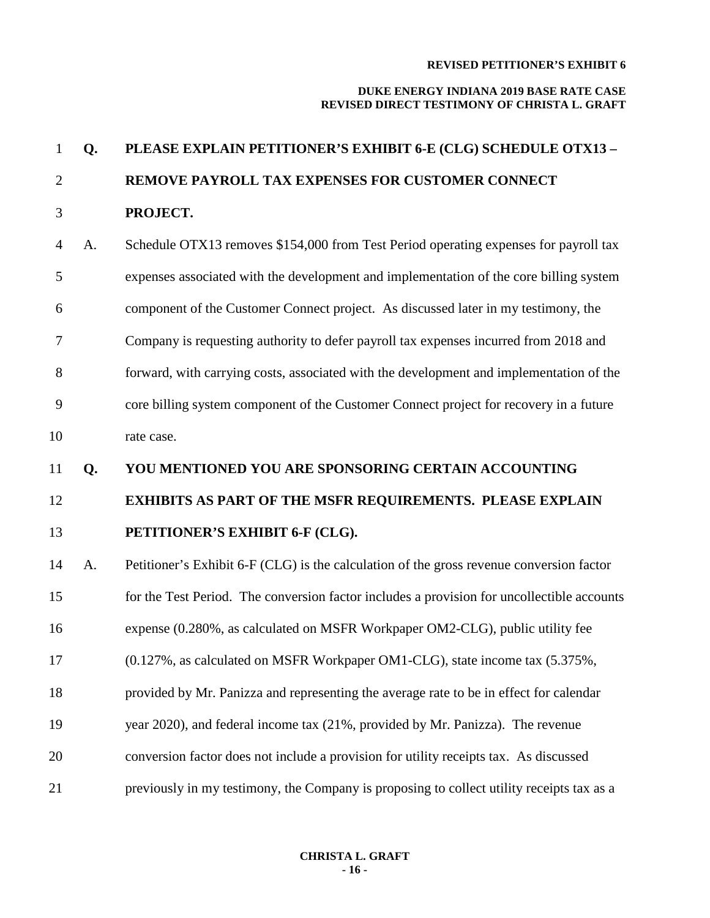#### **DUKE ENERGY INDIANA 2019 BASE RATE CASE REVISED DIRECT TESTIMONY OF CHRISTA L. GRAFT**

# **Q. PLEASE EXPLAIN PETITIONER'S EXHIBIT 6-E (CLG) SCHEDULE OTX13 – REMOVE PAYROLL TAX EXPENSES FOR CUSTOMER CONNECT PROJECT.** A. Schedule OTX13 removes \$154,000 from Test Period operating expenses for payroll tax expenses associated with the development and implementation of the core billing system component of the Customer Connect project. As discussed later in my testimony, the Company is requesting authority to defer payroll tax expenses incurred from 2018 and forward, with carrying costs, associated with the development and implementation of the core billing system component of the Customer Connect project for recovery in a future rate case. **Q. YOU MENTIONED YOU ARE SPONSORING CERTAIN ACCOUNTING EXHIBITS AS PART OF THE MSFR REQUIREMENTS. PLEASE EXPLAIN PETITIONER'S EXHIBIT 6-F (CLG).** A. Petitioner's Exhibit 6-F (CLG) is the calculation of the gross revenue conversion factor for the Test Period. The conversion factor includes a provision for uncollectible accounts expense (0.280%, as calculated on MSFR Workpaper OM2-CLG), public utility fee (0.127%, as calculated on MSFR Workpaper OM1-CLG), state income tax (5.375%, provided by Mr. Panizza and representing the average rate to be in effect for calendar year 2020), and federal income tax (21%, provided by Mr. Panizza). The revenue conversion factor does not include a provision for utility receipts tax. As discussed previously in my testimony, the Company is proposing to collect utility receipts tax as a

#### **CHRISTA L. GRAFT - 16 -**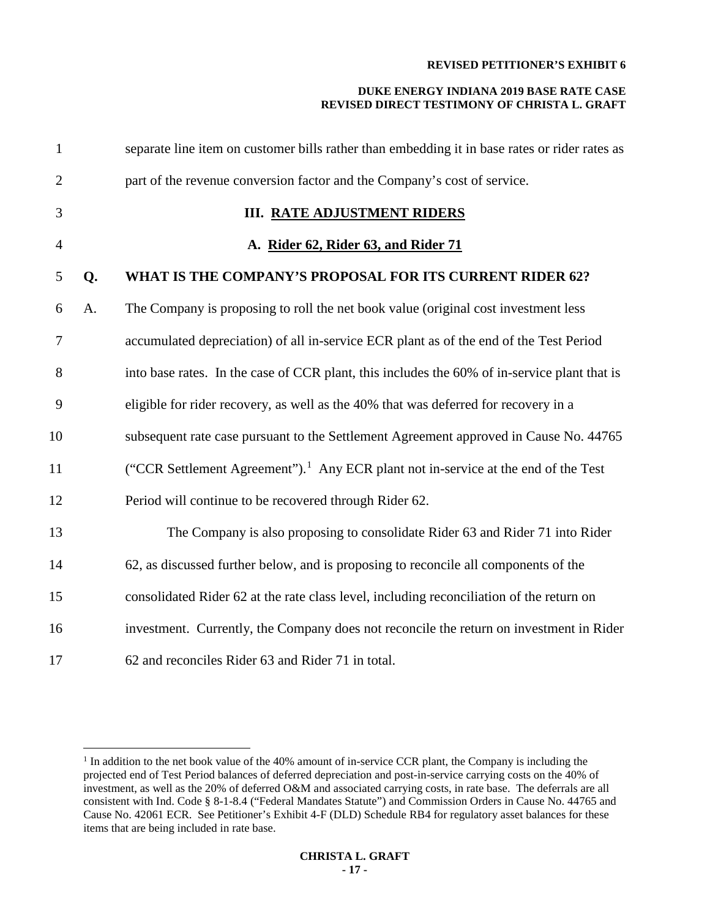| $\mathbf{1}$   |    | separate line item on customer bills rather than embedding it in base rates or rider rates as  |
|----------------|----|------------------------------------------------------------------------------------------------|
| $\overline{2}$ |    | part of the revenue conversion factor and the Company's cost of service.                       |
| 3              |    | <b>III. RATE ADJUSTMENT RIDERS</b>                                                             |
| $\overline{4}$ |    | A. Rider 62, Rider 63, and Rider 71                                                            |
| 5              | Q. | WHAT IS THE COMPANY'S PROPOSAL FOR ITS CURRENT RIDER 62?                                       |
| 6              | A. | The Company is proposing to roll the net book value (original cost investment less             |
| $\tau$         |    | accumulated depreciation) of all in-service ECR plant as of the end of the Test Period         |
| 8              |    | into base rates. In the case of CCR plant, this includes the 60% of in-service plant that is   |
| 9              |    | eligible for rider recovery, as well as the 40% that was deferred for recovery in a            |
| 10             |    | subsequent rate case pursuant to the Settlement Agreement approved in Cause No. 44765          |
| 11             |    | ("CCR Settlement Agreement"). <sup>1</sup> Any ECR plant not in-service at the end of the Test |
| 12             |    | Period will continue to be recovered through Rider 62.                                         |
| 13             |    | The Company is also proposing to consolidate Rider 63 and Rider 71 into Rider                  |
| 14             |    | 62, as discussed further below, and is proposing to reconcile all components of the            |
| 15             |    | consolidated Rider 62 at the rate class level, including reconciliation of the return on       |
| 16             |    | investment. Currently, the Company does not reconcile the return on investment in Rider        |
| 17             |    | 62 and reconciles Rider 63 and Rider 71 in total.                                              |

<span id="page-16-0"></span><sup>&</sup>lt;sup>1</sup> In addition to the net book value of the 40% amount of in-service CCR plant, the Company is including the projected end of Test Period balances of deferred depreciation and post-in-service carrying costs on the 40% of investment, as well as the 20% of deferred O&M and associated carrying costs, in rate base. The deferrals are all consistent with Ind. Code § 8-1-8.4 ("Federal Mandates Statute") and Commission Orders in Cause No. 44765 and Cause No. 42061 ECR. See Petitioner's Exhibit 4-F (DLD) Schedule RB4 for regulatory asset balances for these items that are being included in rate base.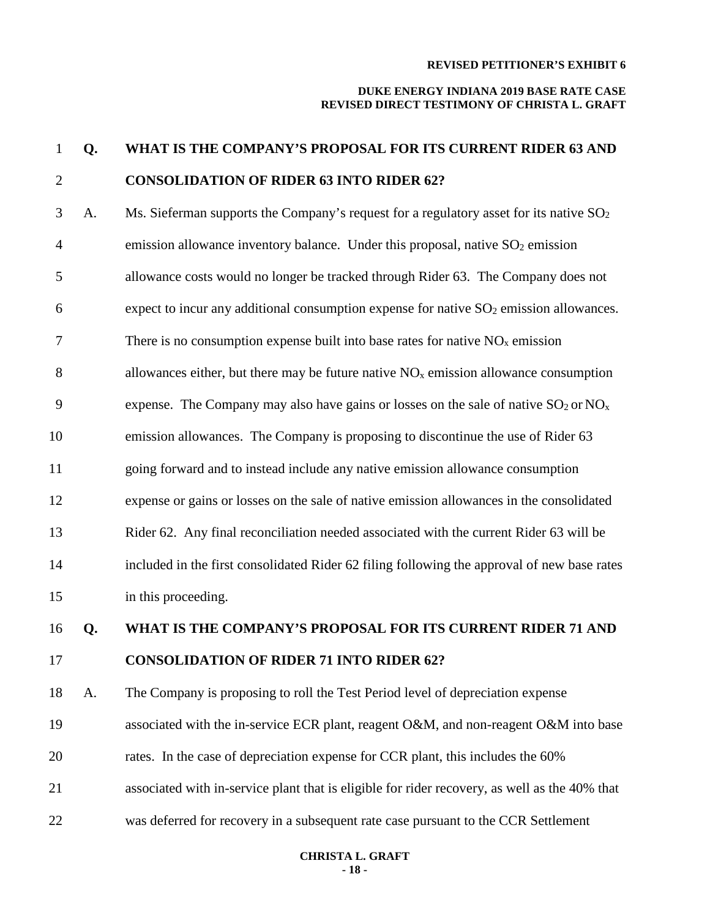#### **DUKE ENERGY INDIANA 2019 BASE RATE CASE REVISED DIRECT TESTIMONY OF CHRISTA L. GRAFT**

# 1 **Q. WHAT IS THE COMPANY'S PROPOSAL FOR ITS CURRENT RIDER 63 AND**  2 **CONSOLIDATION OF RIDER 63 INTO RIDER 62?**

3 A. Ms. Sieferman supports the Company's request for a regulatory asset for its native  $SO<sub>2</sub>$ 4 emission allowance inventory balance. Under this proposal, native  $SO_2$  emission allowance costs would no longer be tracked through Rider 63. The Company does not expect to incur any additional consumption expense for native  $SO<sub>2</sub>$  emission allowances. 7 There is no consumption expense built into base rates for native  $NO<sub>x</sub>$  emission 8 allowances either, but there may be future native  $NO<sub>x</sub>$  emission allowance consumption 9 expense. The Company may also have gains or losses on the sale of native  $SO_2$  or  $NO_x$  emission allowances. The Company is proposing to discontinue the use of Rider 63 going forward and to instead include any native emission allowance consumption expense or gains or losses on the sale of native emission allowances in the consolidated Rider 62. Any final reconciliation needed associated with the current Rider 63 will be included in the first consolidated Rider 62 filing following the approval of new base rates in this proceeding.

16 **Q. WHAT IS THE COMPANY'S PROPOSAL FOR ITS CURRENT RIDER 71 AND**  17 **CONSOLIDATION OF RIDER 71 INTO RIDER 62?**

18 A. The Company is proposing to roll the Test Period level of depreciation expense

19 associated with the in-service ECR plant, reagent O&M, and non-reagent O&M into base

- 20 rates. In the case of depreciation expense for CCR plant, this includes the 60%
- 21 associated with in-service plant that is eligible for rider recovery, as well as the 40% that
- 22 was deferred for recovery in a subsequent rate case pursuant to the CCR Settlement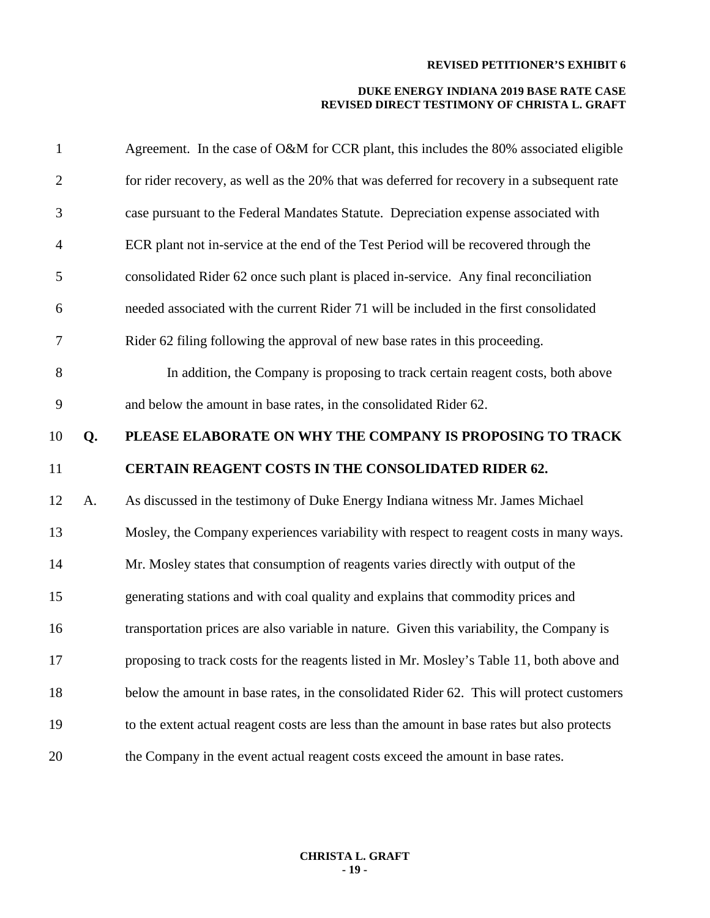| $\mathbf{1}$     |    | Agreement. In the case of O&M for CCR plant, this includes the 80% associated eligible      |
|------------------|----|---------------------------------------------------------------------------------------------|
| $\mathbf{2}$     |    | for rider recovery, as well as the 20% that was deferred for recovery in a subsequent rate  |
| 3                |    | case pursuant to the Federal Mandates Statute. Depreciation expense associated with         |
| $\overline{4}$   |    | ECR plant not in-service at the end of the Test Period will be recovered through the        |
| 5                |    | consolidated Rider 62 once such plant is placed in-service. Any final reconciliation        |
| 6                |    | needed associated with the current Rider 71 will be included in the first consolidated      |
| $\boldsymbol{7}$ |    | Rider 62 filing following the approval of new base rates in this proceeding.                |
| 8                |    | In addition, the Company is proposing to track certain reagent costs, both above            |
| 9                |    | and below the amount in base rates, in the consolidated Rider 62.                           |
| 10               | Q. | PLEASE ELABORATE ON WHY THE COMPANY IS PROPOSING TO TRACK                                   |
|                  |    |                                                                                             |
| 11               |    | CERTAIN REAGENT COSTS IN THE CONSOLIDATED RIDER 62.                                         |
| 12               | A. | As discussed in the testimony of Duke Energy Indiana witness Mr. James Michael              |
| 13               |    | Mosley, the Company experiences variability with respect to reagent costs in many ways.     |
| 14               |    | Mr. Mosley states that consumption of reagents varies directly with output of the           |
| 15               |    | generating stations and with coal quality and explains that commodity prices and            |
| 16               |    | transportation prices are also variable in nature. Given this variability, the Company is   |
| 17               |    | proposing to track costs for the reagents listed in Mr. Mosley's Table 11, both above and   |
| 18               |    | below the amount in base rates, in the consolidated Rider 62. This will protect customers   |
| 19               |    | to the extent actual reagent costs are less than the amount in base rates but also protects |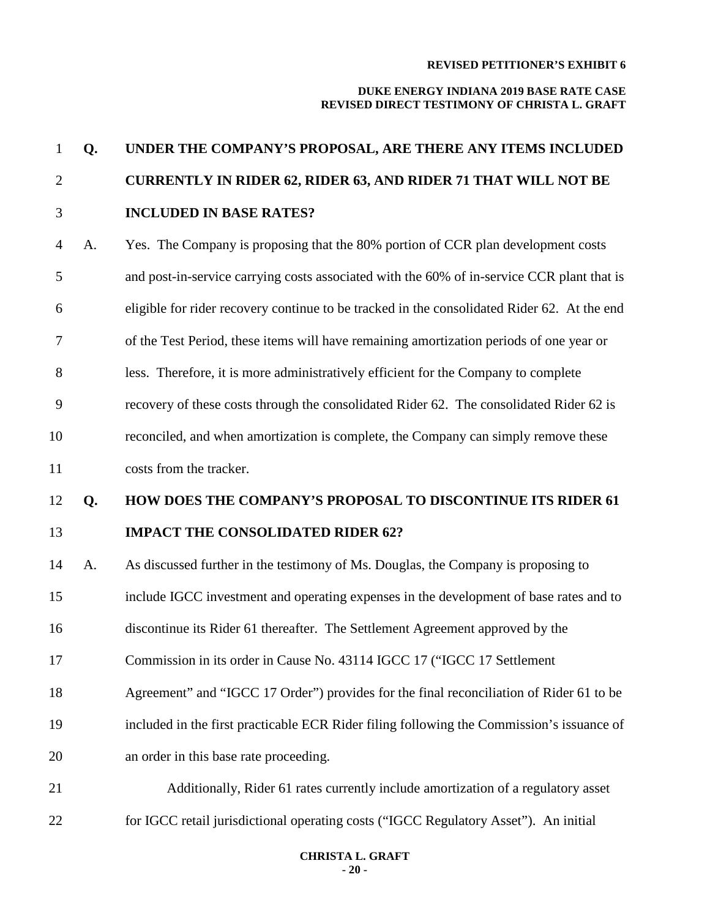#### **DUKE ENERGY INDIANA 2019 BASE RATE CASE REVISED DIRECT TESTIMONY OF CHRISTA L. GRAFT**

# **Q. UNDER THE COMPANY'S PROPOSAL, ARE THERE ANY ITEMS INCLUDED CURRENTLY IN RIDER 62, RIDER 63, AND RIDER 71 THAT WILL NOT BE INCLUDED IN BASE RATES?** A. Yes. The Company is proposing that the 80% portion of CCR plan development costs and post-in-service carrying costs associated with the 60% of in-service CCR plant that is eligible for rider recovery continue to be tracked in the consolidated Rider 62. At the end of the Test Period, these items will have remaining amortization periods of one year or less. Therefore, it is more administratively efficient for the Company to complete recovery of these costs through the consolidated Rider 62. The consolidated Rider 62 is reconciled, and when amortization is complete, the Company can simply remove these costs from the tracker. **Q. HOW DOES THE COMPANY'S PROPOSAL TO DISCONTINUE ITS RIDER 61 IMPACT THE CONSOLIDATED RIDER 62?**  A. As discussed further in the testimony of Ms. Douglas, the Company is proposing to include IGCC investment and operating expenses in the development of base rates and to discontinue its Rider 61 thereafter. The Settlement Agreement approved by the Commission in its order in Cause No. 43114 IGCC 17 ("IGCC 17 Settlement Agreement" and "IGCC 17 Order") provides for the final reconciliation of Rider 61 to be included in the first practicable ECR Rider filing following the Commission's issuance of an order in this base rate proceeding. Additionally, Rider 61 rates currently include amortization of a regulatory asset for IGCC retail jurisdictional operating costs ("IGCC Regulatory Asset"). An initial

#### **CHRISTA L. GRAFT - 20 -**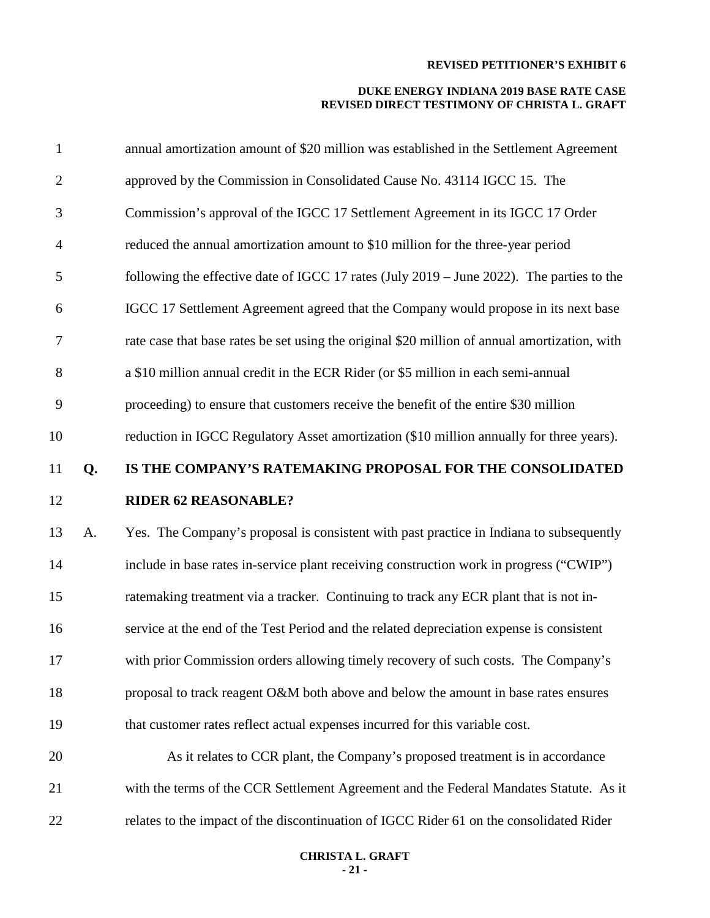#### **DUKE ENERGY INDIANA 2019 BASE RATE CASE REVISED DIRECT TESTIMONY OF CHRISTA L. GRAFT**

| $\mathbf{1}$   |    | annual amortization amount of \$20 million was established in the Settlement Agreement        |
|----------------|----|-----------------------------------------------------------------------------------------------|
| $\mathbf{2}$   |    | approved by the Commission in Consolidated Cause No. 43114 IGCC 15. The                       |
| 3              |    | Commission's approval of the IGCC 17 Settlement Agreement in its IGCC 17 Order                |
| $\overline{4}$ |    | reduced the annual amortization amount to \$10 million for the three-year period              |
| 5              |    | following the effective date of IGCC 17 rates (July 2019 – June 2022). The parties to the     |
| 6              |    | IGCC 17 Settlement Agreement agreed that the Company would propose in its next base           |
| 7              |    | rate case that base rates be set using the original \$20 million of annual amortization, with |
| 8              |    | a \$10 million annual credit in the ECR Rider (or \$5 million in each semi-annual             |
| 9              |    | proceeding) to ensure that customers receive the benefit of the entire \$30 million           |
| 10             |    | reduction in IGCC Regulatory Asset amortization (\$10 million annually for three years).      |
| 11             | Q. | IS THE COMPANY'S RATEMAKING PROPOSAL FOR THE CONSOLIDATED                                     |
|                |    |                                                                                               |
| 12             |    | <b>RIDER 62 REASONABLE?</b>                                                                   |
| 13             | A. | Yes. The Company's proposal is consistent with past practice in Indiana to subsequently       |
| 14             |    | include in base rates in-service plant receiving construction work in progress ("CWIP")       |
| 15             |    | ratemaking treatment via a tracker. Continuing to track any ECR plant that is not in-         |
| 16             |    | service at the end of the Test Period and the related depreciation expense is consistent      |
| 17             |    | with prior Commission orders allowing timely recovery of such costs. The Company's            |
| 18             |    | proposal to track reagent O&M both above and below the amount in base rates ensures           |
| 19             |    | that customer rates reflect actual expenses incurred for this variable cost.                  |
| 20             |    | As it relates to CCR plant, the Company's proposed treatment is in accordance                 |
| 21             |    | with the terms of the CCR Settlement Agreement and the Federal Mandates Statute. As it        |

#### **CHRISTA L. GRAFT - 21 -**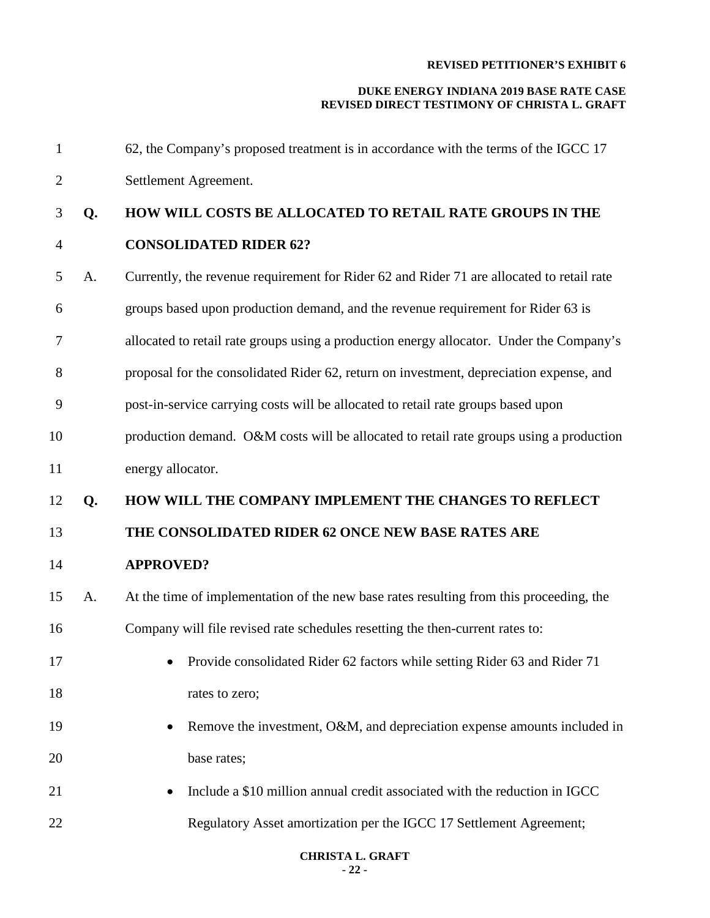| $\mathbf{1}$   |    | 62, the Company's proposed treatment is in accordance with the terms of the IGCC 17       |
|----------------|----|-------------------------------------------------------------------------------------------|
| $\overline{2}$ |    | Settlement Agreement.                                                                     |
| 3              | Q. | HOW WILL COSTS BE ALLOCATED TO RETAIL RATE GROUPS IN THE                                  |
| $\overline{4}$ |    | <b>CONSOLIDATED RIDER 62?</b>                                                             |
| 5              | A. | Currently, the revenue requirement for Rider 62 and Rider 71 are allocated to retail rate |
| 6              |    | groups based upon production demand, and the revenue requirement for Rider 63 is          |
| 7              |    | allocated to retail rate groups using a production energy allocator. Under the Company's  |
| 8              |    | proposal for the consolidated Rider 62, return on investment, depreciation expense, and   |
| 9              |    | post-in-service carrying costs will be allocated to retail rate groups based upon         |
| 10             |    | production demand. O&M costs will be allocated to retail rate groups using a production   |
| 11             |    | energy allocator.                                                                         |
| 12             | Q. | HOW WILL THE COMPANY IMPLEMENT THE CHANGES TO REFLECT                                     |
| 13             |    | THE CONSOLIDATED RIDER 62 ONCE NEW BASE RATES ARE                                         |
|                |    |                                                                                           |
| 14             |    | <b>APPROVED?</b>                                                                          |
| 15             | А. | At the time of implementation of the new base rates resulting from this proceeding, the   |
| 16             |    | Company will file revised rate schedules resetting the then-current rates to:             |
| 17             |    | • Provide consolidated Rider 62 factors while setting Rider 63 and Rider 71               |
| 18             |    | rates to zero;                                                                            |
| 19             |    | Remove the investment, O&M, and depreciation expense amounts included in                  |
| 20             |    | base rates;                                                                               |
| 21             |    | Include a \$10 million annual credit associated with the reduction in IGCC                |
| 22             |    | Regulatory Asset amortization per the IGCC 17 Settlement Agreement;                       |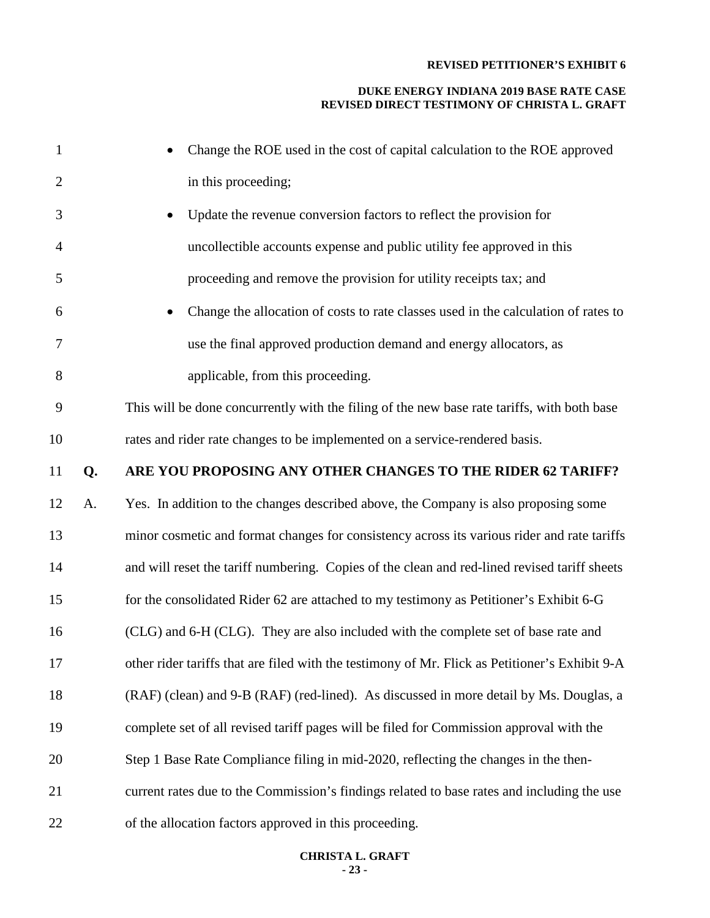#### **DUKE ENERGY INDIANA 2019 BASE RATE CASE REVISED DIRECT TESTIMONY OF CHRISTA L. GRAFT**

| $\mathbf{1}$   |    | Change the ROE used in the cost of capital calculation to the ROE approved                     |
|----------------|----|------------------------------------------------------------------------------------------------|
| $\overline{2}$ |    | in this proceeding;                                                                            |
| 3              |    | Update the revenue conversion factors to reflect the provision for                             |
| $\overline{4}$ |    | uncollectible accounts expense and public utility fee approved in this                         |
| 5              |    | proceeding and remove the provision for utility receipts tax; and                              |
| 6              |    | Change the allocation of costs to rate classes used in the calculation of rates to             |
| 7              |    | use the final approved production demand and energy allocators, as                             |
| 8              |    | applicable, from this proceeding.                                                              |
| 9              |    | This will be done concurrently with the filing of the new base rate tariffs, with both base    |
| 10             |    | rates and rider rate changes to be implemented on a service-rendered basis.                    |
| 11             | Q. | ARE YOU PROPOSING ANY OTHER CHANGES TO THE RIDER 62 TARIFF?                                    |
| 12             | A. | Yes. In addition to the changes described above, the Company is also proposing some            |
| 13             |    | minor cosmetic and format changes for consistency across its various rider and rate tariffs    |
| 14             |    | and will reset the tariff numbering. Copies of the clean and red-lined revised tariff sheets   |
| 15             |    | for the consolidated Rider 62 are attached to my testimony as Petitioner's Exhibit 6-G         |
| 16             |    | (CLG) and 6-H (CLG). They are also included with the complete set of base rate and             |
| 17             |    | other rider tariffs that are filed with the testimony of Mr. Flick as Petitioner's Exhibit 9-A |
| 18             |    | (RAF) (clean) and 9-B (RAF) (red-lined). As discussed in more detail by Ms. Douglas, a         |
| 19             |    | complete set of all revised tariff pages will be filed for Commission approval with the        |
| 20             |    | Step 1 Base Rate Compliance filing in mid-2020, reflecting the changes in the then-            |
| 21             |    | current rates due to the Commission's findings related to base rates and including the use     |
| 22             |    | of the allocation factors approved in this proceeding.                                         |

#### **CHRISTA L. GRAFT - 23 -**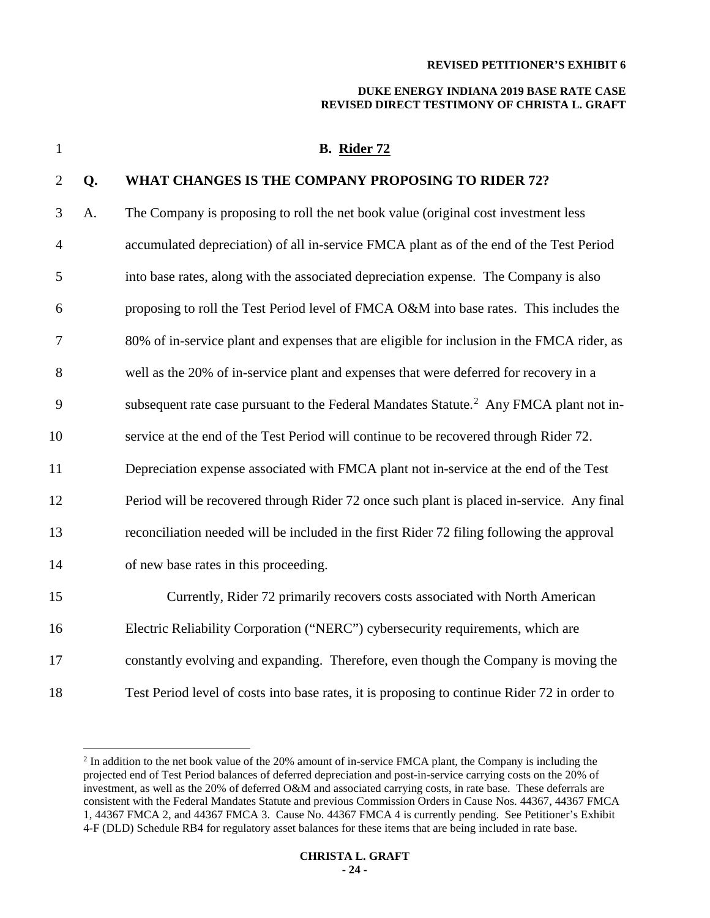#### **DUKE ENERGY INDIANA 2019 BASE RATE CASE REVISED DIRECT TESTIMONY OF CHRISTA L. GRAFT**

 **B. Rider 72 Q. WHAT CHANGES IS THE COMPANY PROPOSING TO RIDER 72?** A. The Company is proposing to roll the net book value (original cost investment less accumulated depreciation) of all in-service FMCA plant as of the end of the Test Period into base rates, along with the associated depreciation expense. The Company is also proposing to roll the Test Period level of FMCA O&M into base rates. This includes the 80% of in-service plant and expenses that are eligible for inclusion in the FMCA rider, as well as the 20% of in-service plant and expenses that were deferred for recovery in a 9 subsequent rate case pursuant to the Federal Mandates Statute.<sup>[2](#page-23-0)</sup> Any FMCA plant not in- service at the end of the Test Period will continue to be recovered through Rider 72. Depreciation expense associated with FMCA plant not in-service at the end of the Test Period will be recovered through Rider 72 once such plant is placed in-service. Any final reconciliation needed will be included in the first Rider 72 filing following the approval of new base rates in this proceeding. Currently, Rider 72 primarily recovers costs associated with North American Electric Reliability Corporation ("NERC") cybersecurity requirements, which are constantly evolving and expanding. Therefore, even though the Company is moving the Test Period level of costs into base rates, it is proposing to continue Rider 72 in order to

<span id="page-23-0"></span><sup>&</sup>lt;sup>2</sup> In addition to the net book value of the 20% amount of in-service FMCA plant, the Company is including the projected end of Test Period balances of deferred depreciation and post-in-service carrying costs on the 20% of investment, as well as the 20% of deferred O&M and associated carrying costs, in rate base. These deferrals are consistent with the Federal Mandates Statute and previous Commission Orders in Cause Nos. 44367, 44367 FMCA 1, 44367 FMCA 2, and 44367 FMCA 3. Cause No. 44367 FMCA 4 is currently pending. See Petitioner's Exhibit 4-F (DLD) Schedule RB4 for regulatory asset balances for these items that are being included in rate base.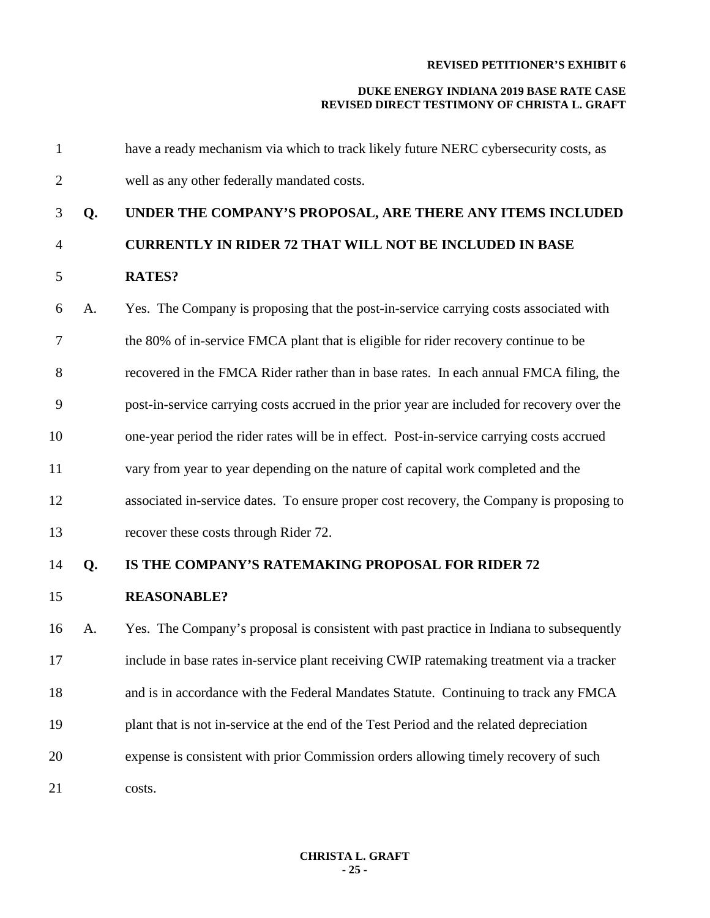| $\mathbf{1}$   |    | have a ready mechanism via which to track likely future NERC cybersecurity costs, as        |
|----------------|----|---------------------------------------------------------------------------------------------|
| $\overline{2}$ |    | well as any other federally mandated costs.                                                 |
| 3              | Q. | UNDER THE COMPANY'S PROPOSAL, ARE THERE ANY ITEMS INCLUDED                                  |
| $\overline{4}$ |    | <b>CURRENTLY IN RIDER 72 THAT WILL NOT BE INCLUDED IN BASE</b>                              |
| 5              |    | <b>RATES?</b>                                                                               |
| 6              | A. | Yes. The Company is proposing that the post-in-service carrying costs associated with       |
| 7              |    | the 80% of in-service FMCA plant that is eligible for rider recovery continue to be         |
| 8              |    | recovered in the FMCA Rider rather than in base rates. In each annual FMCA filing, the      |
| 9              |    | post-in-service carrying costs accrued in the prior year are included for recovery over the |
| 10             |    | one-year period the rider rates will be in effect. Post-in-service carrying costs accrued   |
| 11             |    | vary from year to year depending on the nature of capital work completed and the            |
| 12             |    | associated in-service dates. To ensure proper cost recovery, the Company is proposing to    |
| 13             |    | recover these costs through Rider 72.                                                       |
| 14             | Q. | IS THE COMPANY'S RATEMAKING PROPOSAL FOR RIDER 72                                           |
| 15             |    | <b>REASONABLE?</b>                                                                          |
| 16             | A. | Yes. The Company's proposal is consistent with past practice in Indiana to subsequently     |
| 17             |    | include in base rates in-service plant receiving CWIP ratemaking treatment via a tracker    |
| 18             |    | and is in accordance with the Federal Mandates Statute. Continuing to track any FMCA        |
| 19             |    | plant that is not in-service at the end of the Test Period and the related depreciation     |
| 20             |    | expense is consistent with prior Commission orders allowing timely recovery of such         |
| 21             |    | costs.                                                                                      |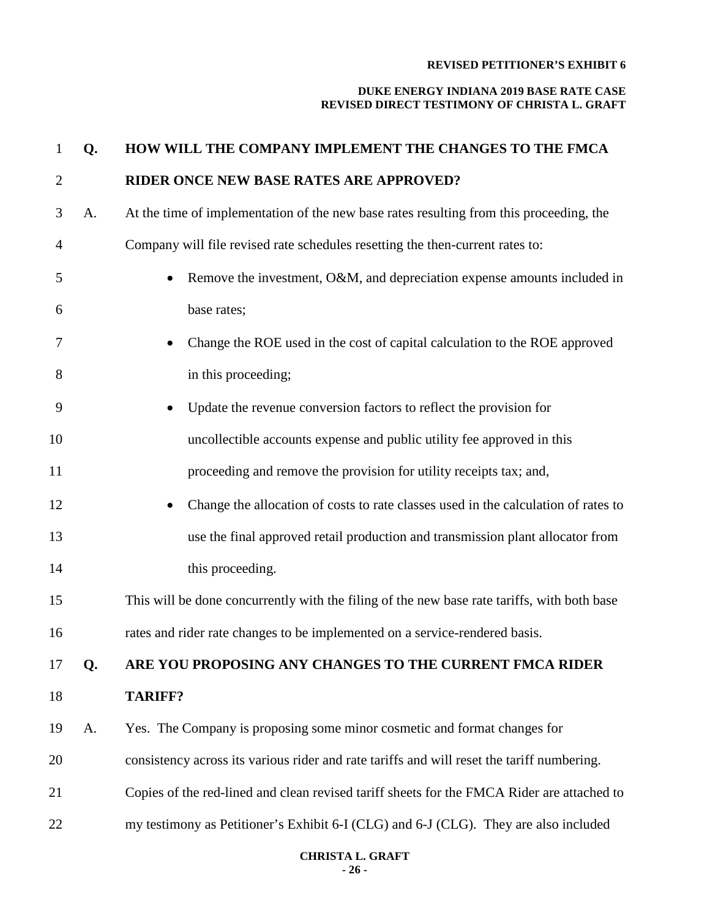| $\mathbf{1}$   | Q. | HOW WILL THE COMPANY IMPLEMENT THE CHANGES TO THE FMCA                                      |
|----------------|----|---------------------------------------------------------------------------------------------|
| $\overline{2}$ |    | RIDER ONCE NEW BASE RATES ARE APPROVED?                                                     |
| 3              | A. | At the time of implementation of the new base rates resulting from this proceeding, the     |
| 4              |    | Company will file revised rate schedules resetting the then-current rates to:               |
| 5              |    | Remove the investment, O&M, and depreciation expense amounts included in                    |
| 6              |    | base rates;                                                                                 |
| 7              |    | Change the ROE used in the cost of capital calculation to the ROE approved                  |
| 8              |    | in this proceeding;                                                                         |
| 9              |    | Update the revenue conversion factors to reflect the provision for                          |
| 10             |    | uncollectible accounts expense and public utility fee approved in this                      |
| 11             |    | proceeding and remove the provision for utility receipts tax; and,                          |
| 12             |    | Change the allocation of costs to rate classes used in the calculation of rates to          |
| 13             |    | use the final approved retail production and transmission plant allocator from              |
| 14             |    | this proceeding.                                                                            |
| 15             |    | This will be done concurrently with the filing of the new base rate tariffs, with both base |
| 16             |    | rates and rider rate changes to be implemented on a service-rendered basis.                 |
| 17             | Q. | ARE YOU PROPOSING ANY CHANGES TO THE CURRENT FMCA RIDER                                     |
| 18             |    | <b>TARIFF?</b>                                                                              |
| 19             | A. | Yes. The Company is proposing some minor cosmetic and format changes for                    |
| 20             |    | consistency across its various rider and rate tariffs and will reset the tariff numbering.  |
| 21             |    | Copies of the red-lined and clean revised tariff sheets for the FMCA Rider are attached to  |
| 22             |    | my testimony as Petitioner's Exhibit 6-I (CLG) and 6-J (CLG). They are also included        |
|                |    |                                                                                             |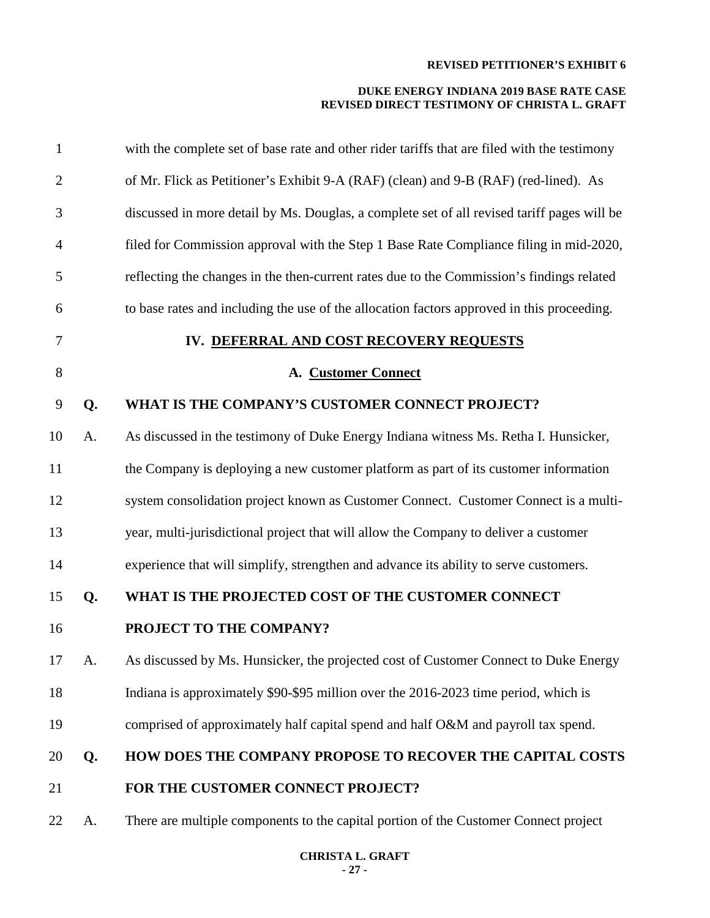| $\mathbf{1}$   |    | with the complete set of base rate and other rider tariffs that are filed with the testimony |
|----------------|----|----------------------------------------------------------------------------------------------|
| $\overline{2}$ |    | of Mr. Flick as Petitioner's Exhibit 9-A (RAF) (clean) and 9-B (RAF) (red-lined). As         |
| 3              |    | discussed in more detail by Ms. Douglas, a complete set of all revised tariff pages will be  |
| 4              |    | filed for Commission approval with the Step 1 Base Rate Compliance filing in mid-2020,       |
| 5              |    | reflecting the changes in the then-current rates due to the Commission's findings related    |
| 6              |    | to base rates and including the use of the allocation factors approved in this proceeding.   |
| 7              |    | IV. DEFERRAL AND COST RECOVERY REQUESTS                                                      |
| 8              |    | A. Customer Connect                                                                          |
| 9              | Q. | WHAT IS THE COMPANY'S CUSTOMER CONNECT PROJECT?                                              |
| 10             | A. | As discussed in the testimony of Duke Energy Indiana witness Ms. Retha I. Hunsicker,         |
| 11             |    | the Company is deploying a new customer platform as part of its customer information         |
| 12             |    | system consolidation project known as Customer Connect. Customer Connect is a multi-         |
| 13             |    | year, multi-jurisdictional project that will allow the Company to deliver a customer         |
| 14             |    | experience that will simplify, strengthen and advance its ability to serve customers.        |
| 15             | Q. | WHAT IS THE PROJECTED COST OF THE CUSTOMER CONNECT                                           |
| 16             |    | PROJECT TO THE COMPANY?                                                                      |
| 17             | A. | As discussed by Ms. Hunsicker, the projected cost of Customer Connect to Duke Energy         |
| 18             |    | Indiana is approximately \$90-\$95 million over the 2016-2023 time period, which is          |
| 19             |    | comprised of approximately half capital spend and half O&M and payroll tax spend.            |
| 20             | Q. | HOW DOES THE COMPANY PROPOSE TO RECOVER THE CAPITAL COSTS                                    |
| 21             |    | FOR THE CUSTOMER CONNECT PROJECT?                                                            |
| 22             | A. | There are multiple components to the capital portion of the Customer Connect project         |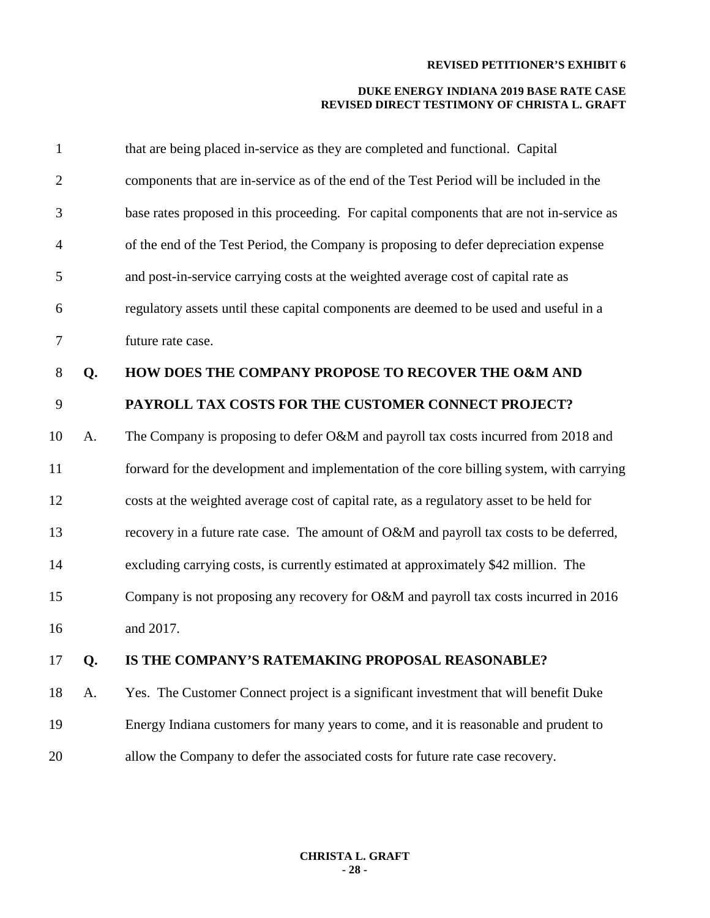| $\mathbf{1}$   |    | that are being placed in-service as they are completed and functional. Capital            |
|----------------|----|-------------------------------------------------------------------------------------------|
| $\overline{2}$ |    | components that are in-service as of the end of the Test Period will be included in the   |
| 3              |    | base rates proposed in this proceeding. For capital components that are not in-service as |
| $\overline{4}$ |    | of the end of the Test Period, the Company is proposing to defer depreciation expense     |
| 5              |    | and post-in-service carrying costs at the weighted average cost of capital rate as        |
| 6              |    | regulatory assets until these capital components are deemed to be used and useful in a    |
| 7              |    | future rate case.                                                                         |
| 8              | Q. | HOW DOES THE COMPANY PROPOSE TO RECOVER THE O&M AND                                       |
| 9              |    | PAYROLL TAX COSTS FOR THE CUSTOMER CONNECT PROJECT?                                       |
| 10             | A. | The Company is proposing to defer O&M and payroll tax costs incurred from 2018 and        |
| 11             |    | forward for the development and implementation of the core billing system, with carrying  |
| 12             |    | costs at the weighted average cost of capital rate, as a regulatory asset to be held for  |
| 13             |    | recovery in a future rate case. The amount of O&M and payroll tax costs to be deferred,   |
| 14             |    | excluding carrying costs, is currently estimated at approximately \$42 million. The       |
| 15             |    | Company is not proposing any recovery for O&M and payroll tax costs incurred in 2016      |
| 16             |    | and 2017.                                                                                 |
| 17             | Q. | IS THE COMPANY'S RATEMAKING PROPOSAL REASONABLE?                                          |
| 18             | A. | Yes. The Customer Connect project is a significant investment that will benefit Duke      |
| 19             |    | Energy Indiana customers for many years to come, and it is reasonable and prudent to      |
| 20             |    | allow the Company to defer the associated costs for future rate case recovery.            |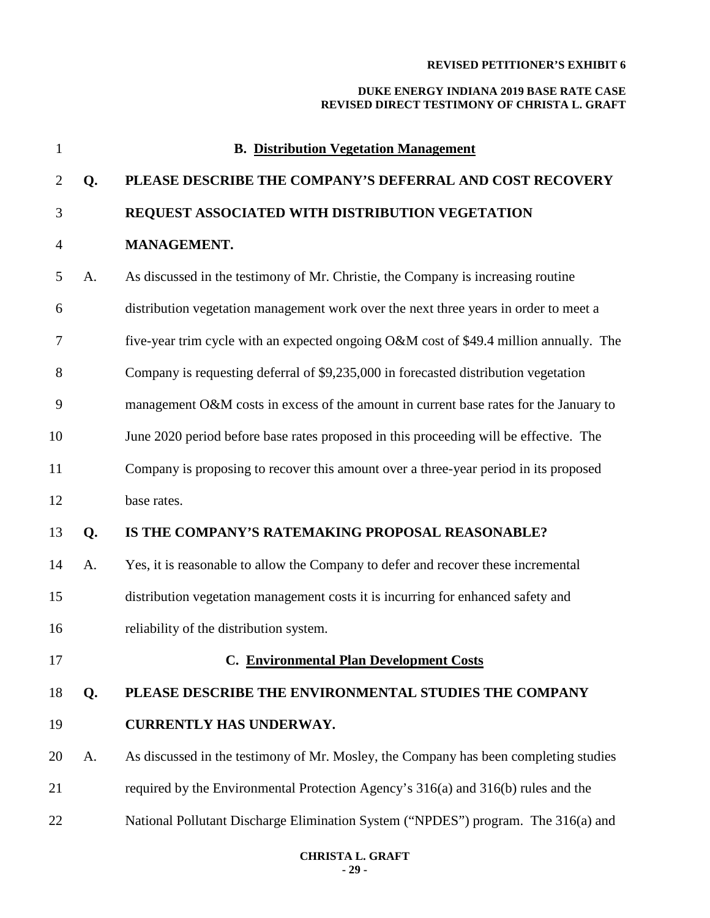| 1              | <b>B.</b> Distribution Vegetation Management |                                                                                        |  |  |  |  |
|----------------|----------------------------------------------|----------------------------------------------------------------------------------------|--|--|--|--|
| $\overline{2}$ | Q.                                           | PLEASE DESCRIBE THE COMPANY'S DEFERRAL AND COST RECOVERY                               |  |  |  |  |
| 3              |                                              | REQUEST ASSOCIATED WITH DISTRIBUTION VEGETATION                                        |  |  |  |  |
| $\overline{4}$ |                                              | MANAGEMENT.                                                                            |  |  |  |  |
| 5              | A.                                           | As discussed in the testimony of Mr. Christie, the Company is increasing routine       |  |  |  |  |
| 6              |                                              | distribution vegetation management work over the next three years in order to meet a   |  |  |  |  |
| 7              |                                              | five-year trim cycle with an expected ongoing O&M cost of \$49.4 million annually. The |  |  |  |  |
| 8              |                                              | Company is requesting deferral of \$9,235,000 in forecasted distribution vegetation    |  |  |  |  |
| 9              |                                              | management O&M costs in excess of the amount in current base rates for the January to  |  |  |  |  |
| 10             |                                              | June 2020 period before base rates proposed in this proceeding will be effective. The  |  |  |  |  |
| 11             |                                              | Company is proposing to recover this amount over a three-year period in its proposed   |  |  |  |  |
| 12             |                                              | base rates.                                                                            |  |  |  |  |
| 13             | Q.                                           | IS THE COMPANY'S RATEMAKING PROPOSAL REASONABLE?                                       |  |  |  |  |
| 14             | A.                                           | Yes, it is reasonable to allow the Company to defer and recover these incremental      |  |  |  |  |
| 15             |                                              | distribution vegetation management costs it is incurring for enhanced safety and       |  |  |  |  |
| 16             |                                              | reliability of the distribution system.                                                |  |  |  |  |
| 17             |                                              | <b>C. Environmental Plan Development Costs</b>                                         |  |  |  |  |
| 18             | Q.                                           | PLEASE DESCRIBE THE ENVIRONMENTAL STUDIES THE COMPANY                                  |  |  |  |  |
| 19             |                                              | <b>CURRENTLY HAS UNDERWAY.</b>                                                         |  |  |  |  |
| 20             | A.                                           | As discussed in the testimony of Mr. Mosley, the Company has been completing studies   |  |  |  |  |
| 21             |                                              | required by the Environmental Protection Agency's 316(a) and 316(b) rules and the      |  |  |  |  |
| 22             |                                              | National Pollutant Discharge Elimination System ("NPDES") program. The 316(a) and      |  |  |  |  |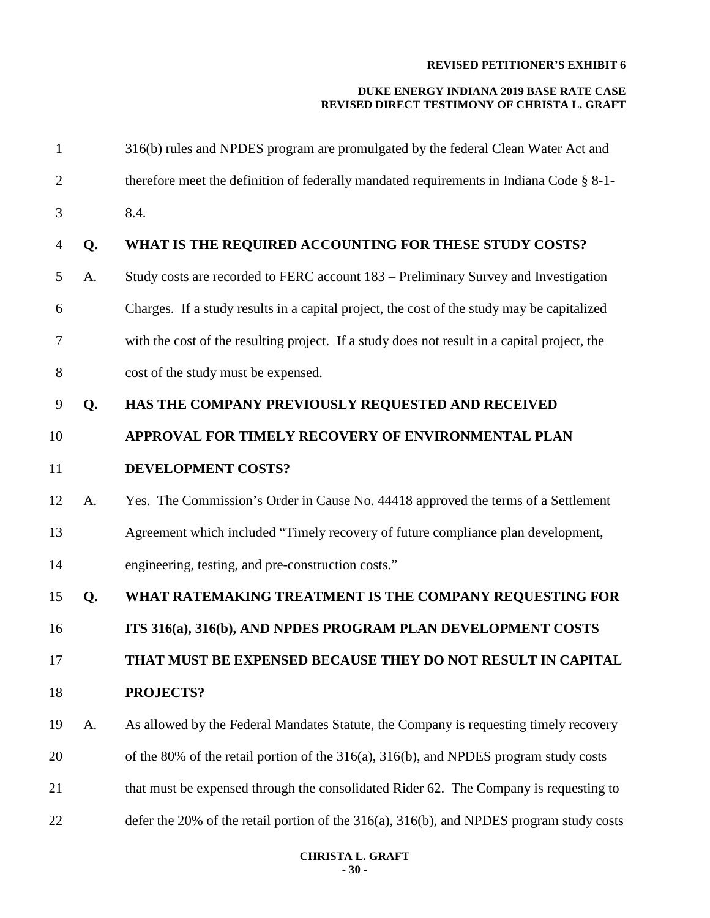| $\mathbf{1}$   |    | 316(b) rules and NPDES program are promulgated by the federal Clean Water Act and            |  |  |  |  |  |  |
|----------------|----|----------------------------------------------------------------------------------------------|--|--|--|--|--|--|
| $\overline{2}$ |    | therefore meet the definition of federally mandated requirements in Indiana Code § 8-1-      |  |  |  |  |  |  |
| 3              |    | 8.4.                                                                                         |  |  |  |  |  |  |
| 4              | Q. | WHAT IS THE REQUIRED ACCOUNTING FOR THESE STUDY COSTS?                                       |  |  |  |  |  |  |
| 5              | A. | Study costs are recorded to FERC account 183 – Preliminary Survey and Investigation          |  |  |  |  |  |  |
| 6              |    | Charges. If a study results in a capital project, the cost of the study may be capitalized   |  |  |  |  |  |  |
| 7              |    | with the cost of the resulting project. If a study does not result in a capital project, the |  |  |  |  |  |  |
| 8              |    | cost of the study must be expensed.                                                          |  |  |  |  |  |  |
| 9              | Q. | HAS THE COMPANY PREVIOUSLY REQUESTED AND RECEIVED                                            |  |  |  |  |  |  |
| 10             |    | APPROVAL FOR TIMELY RECOVERY OF ENVIRONMENTAL PLAN                                           |  |  |  |  |  |  |
| 11             |    | DEVELOPMENT COSTS?                                                                           |  |  |  |  |  |  |
| 12             | A. | Yes. The Commission's Order in Cause No. 44418 approved the terms of a Settlement            |  |  |  |  |  |  |
| 13             |    | Agreement which included "Timely recovery of future compliance plan development,             |  |  |  |  |  |  |
| 14             |    | engineering, testing, and pre-construction costs."                                           |  |  |  |  |  |  |
| 15             | Q. | WHAT RATEMAKING TREATMENT IS THE COMPANY REQUESTING FOR                                      |  |  |  |  |  |  |
| 16             |    | ITS 316(a), 316(b), AND NPDES PROGRAM PLAN DEVELOPMENT COSTS                                 |  |  |  |  |  |  |
| 17             |    | THAT MUST BE EXPENSED BECAUSE THEY DO NOT RESULT IN CAPITAL                                  |  |  |  |  |  |  |
| 18             |    | <b>PROJECTS?</b>                                                                             |  |  |  |  |  |  |
| 19             | A. | As allowed by the Federal Mandates Statute, the Company is requesting timely recovery        |  |  |  |  |  |  |
| 20             |    | of the 80% of the retail portion of the $316(a)$ , $316(b)$ , and NPDES program study costs  |  |  |  |  |  |  |
| 21             |    | that must be expensed through the consolidated Rider 62. The Company is requesting to        |  |  |  |  |  |  |
| 22             |    | defer the 20% of the retail portion of the 316(a), 316(b), and NPDES program study costs     |  |  |  |  |  |  |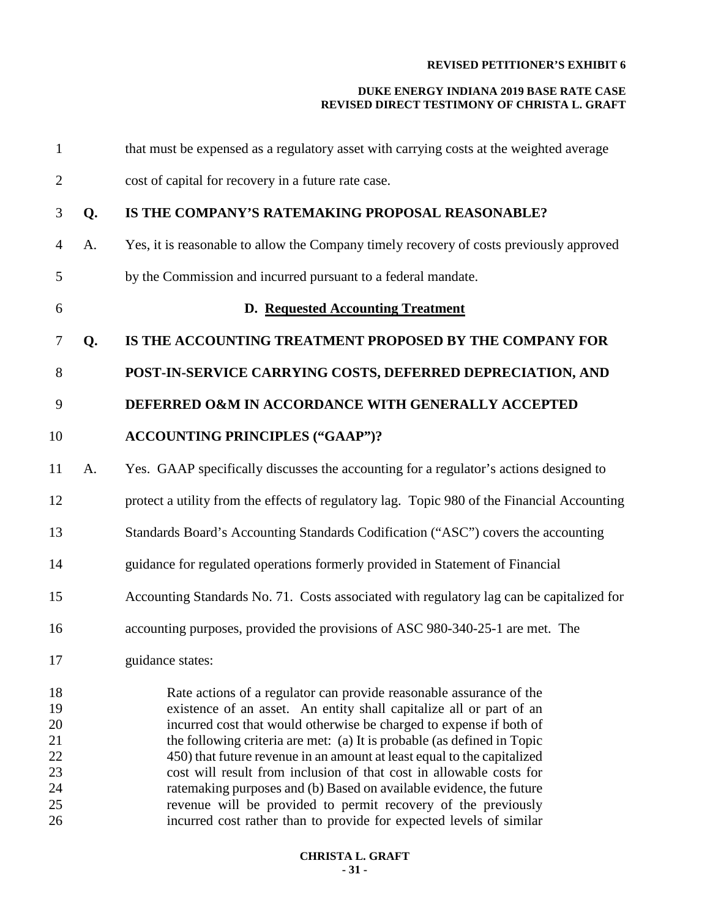| $\mathbf{1}$         |    | that must be expensed as a regulatory asset with carrying costs at the weighted average                                                                                                                                                                                                      |  |  |  |  |  |  |
|----------------------|----|----------------------------------------------------------------------------------------------------------------------------------------------------------------------------------------------------------------------------------------------------------------------------------------------|--|--|--|--|--|--|
| $\overline{c}$       |    | cost of capital for recovery in a future rate case.                                                                                                                                                                                                                                          |  |  |  |  |  |  |
| 3                    | Q. | IS THE COMPANY'S RATEMAKING PROPOSAL REASONABLE?                                                                                                                                                                                                                                             |  |  |  |  |  |  |
| 4                    | A. | Yes, it is reasonable to allow the Company timely recovery of costs previously approved                                                                                                                                                                                                      |  |  |  |  |  |  |
| 5                    |    | by the Commission and incurred pursuant to a federal mandate.                                                                                                                                                                                                                                |  |  |  |  |  |  |
| 6                    |    | D. Requested Accounting Treatment                                                                                                                                                                                                                                                            |  |  |  |  |  |  |
| 7                    | Q. | IS THE ACCOUNTING TREATMENT PROPOSED BY THE COMPANY FOR                                                                                                                                                                                                                                      |  |  |  |  |  |  |
| 8                    |    | POST-IN-SERVICE CARRYING COSTS, DEFERRED DEPRECIATION, AND                                                                                                                                                                                                                                   |  |  |  |  |  |  |
| 9                    |    | DEFERRED O&M IN ACCORDANCE WITH GENERALLY ACCEPTED                                                                                                                                                                                                                                           |  |  |  |  |  |  |
| 10                   |    | <b>ACCOUNTING PRINCIPLES ("GAAP")?</b>                                                                                                                                                                                                                                                       |  |  |  |  |  |  |
| 11                   | A. | Yes. GAAP specifically discusses the accounting for a regulator's actions designed to                                                                                                                                                                                                        |  |  |  |  |  |  |
| 12                   |    | protect a utility from the effects of regulatory lag. Topic 980 of the Financial Accounting                                                                                                                                                                                                  |  |  |  |  |  |  |
| 13                   |    | Standards Board's Accounting Standards Codification ("ASC") covers the accounting                                                                                                                                                                                                            |  |  |  |  |  |  |
| 14                   |    | guidance for regulated operations formerly provided in Statement of Financial                                                                                                                                                                                                                |  |  |  |  |  |  |
| 15                   |    | Accounting Standards No. 71. Costs associated with regulatory lag can be capitalized for                                                                                                                                                                                                     |  |  |  |  |  |  |
| 16                   |    | accounting purposes, provided the provisions of ASC 980-340-25-1 are met. The                                                                                                                                                                                                                |  |  |  |  |  |  |
| 17                   |    | guidance states:                                                                                                                                                                                                                                                                             |  |  |  |  |  |  |
| 18<br>19<br>20<br>21 |    | Rate actions of a regulator can provide reasonable assurance of the<br>existence of an asset. An entity shall capitalize all or part of an<br>incurred cost that would otherwise be charged to expense if both of<br>the following criteria are met: (a) It is probable (as defined in Topic |  |  |  |  |  |  |
| 22<br>23<br>24<br>25 |    | 450) that future revenue in an amount at least equal to the capitalized<br>cost will result from inclusion of that cost in allowable costs for<br>ratemaking purposes and (b) Based on available evidence, the future<br>revenue will be provided to permit recovery of the previously       |  |  |  |  |  |  |
| 26                   |    | incurred cost rather than to provide for expected levels of similar                                                                                                                                                                                                                          |  |  |  |  |  |  |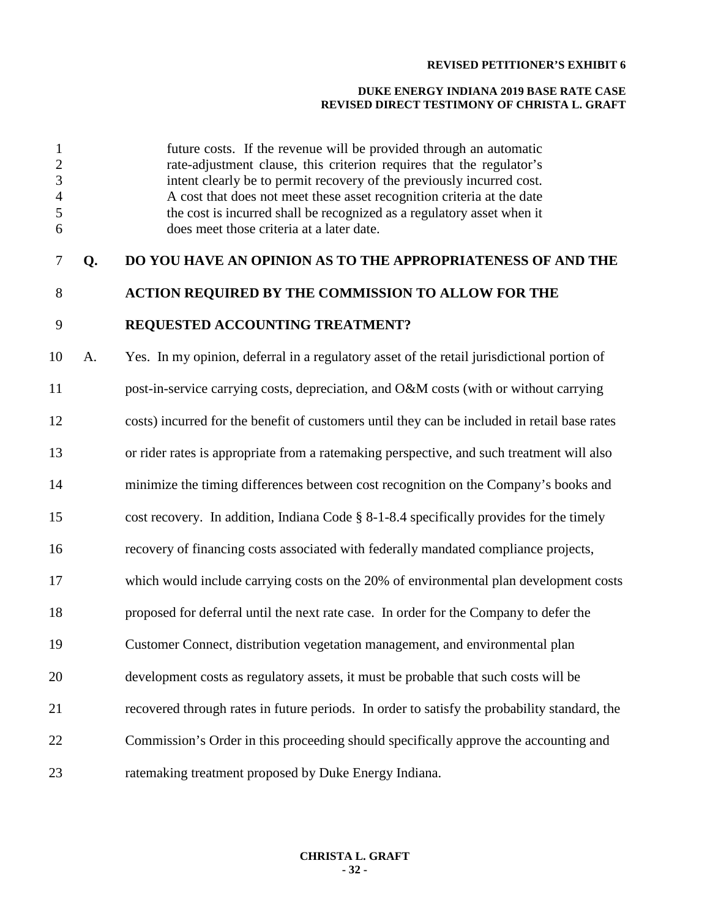#### **DUKE ENERGY INDIANA 2019 BASE RATE CASE REVISED DIRECT TESTIMONY OF CHRISTA L. GRAFT**

 future costs. If the revenue will be provided through an automatic rate-adjustment clause, this criterion requires that the regulator's intent clearly be to permit recovery of the previously incurred cost. A cost that does not meet these asset recognition criteria at the date the cost is incurred shall be recognized as a regulatory asset when it does meet those criteria at a later date.

# **Q. DO YOU HAVE AN OPINION AS TO THE APPROPRIATENESS OF AND THE**

# **ACTION REQUIRED BY THE COMMISSION TO ALLOW FOR THE**

## **REQUESTED ACCOUNTING TREATMENT?**

 A. Yes. In my opinion, deferral in a regulatory asset of the retail jurisdictional portion of post-in-service carrying costs, depreciation, and O&M costs (with or without carrying costs) incurred for the benefit of customers until they can be included in retail base rates or rider rates is appropriate from a ratemaking perspective, and such treatment will also minimize the timing differences between cost recognition on the Company's books and cost recovery. In addition, Indiana Code § 8-1-8.4 specifically provides for the timely recovery of financing costs associated with federally mandated compliance projects, which would include carrying costs on the 20% of environmental plan development costs proposed for deferral until the next rate case. In order for the Company to defer the Customer Connect, distribution vegetation management, and environmental plan development costs as regulatory assets, it must be probable that such costs will be recovered through rates in future periods. In order to satisfy the probability standard, the Commission's Order in this proceeding should specifically approve the accounting and ratemaking treatment proposed by Duke Energy Indiana.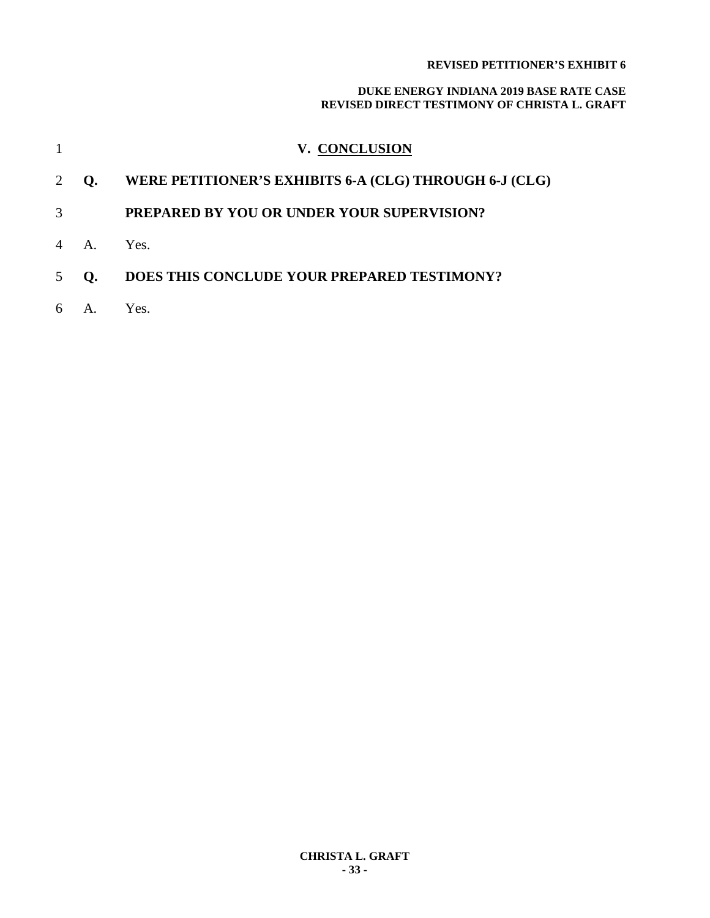|                |                      | V. CONCLUSION                                          |
|----------------|----------------------|--------------------------------------------------------|
| 2              | O.                   | WERE PETITIONER'S EXHIBITS 6-A (CLG) THROUGH 6-J (CLG) |
| 3              |                      | PREPARED BY YOU OR UNDER YOUR SUPERVISION?             |
| $\overline{4}$ | $\mathsf{A}_{\cdot}$ | Yes.                                                   |
| 5              | $\Omega$ .           | DOES THIS CONCLUDE YOUR PREPARED TESTIMONY?            |
| 6              | $A_{\cdot}$          | Yes.                                                   |
|                |                      |                                                        |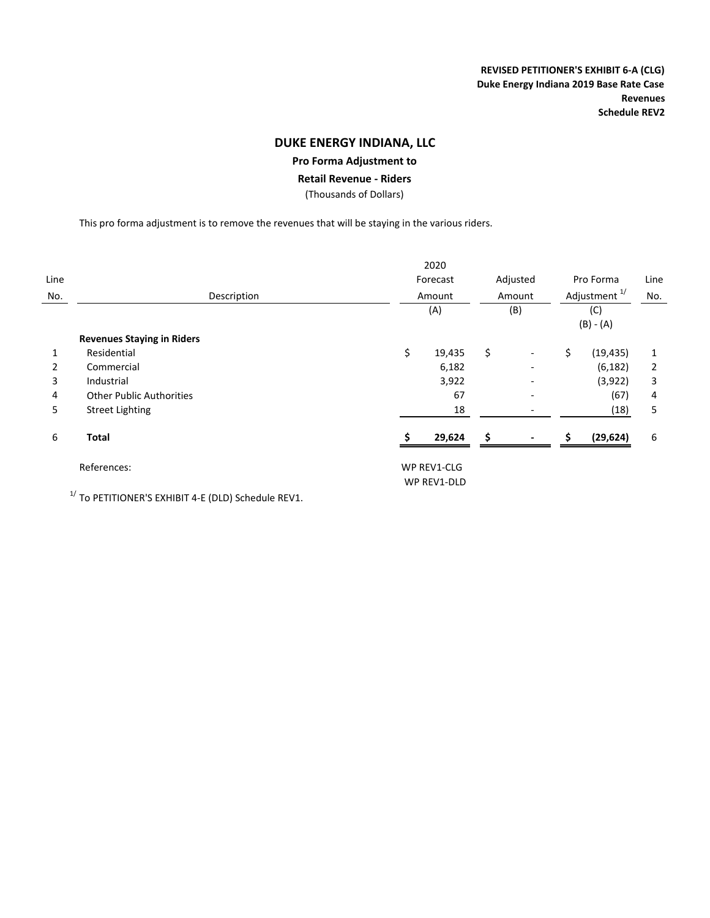**REVISED PETITIONER'S EXHIBIT 6‐A (CLG) Duke Energy Indiana 2019 Base Rate Case Revenues Schedule REV2**

### **DUKE ENERGY INDIANA, LLC**

#### **Pro Forma Adjustment to**

**Retail Revenue ‐ Riders**

(Thousands of Dollars)

This pro forma adjustment is to remove the revenues that will be staying in the various riders.

|      |                                   |    | 2020                      |    |                           |    |                                                             |   |
|------|-----------------------------------|----|---------------------------|----|---------------------------|----|-------------------------------------------------------------|---|
| Line |                                   |    | Forecast<br>Amount<br>(A) |    | Adjusted<br>Amount<br>(B) |    | Pro Forma<br>Adjustment <sup>1/</sup><br>(C)<br>$(B) - (A)$ |   |
| No.  | Description                       |    |                           |    |                           |    |                                                             |   |
|      |                                   |    |                           |    |                           |    |                                                             |   |
|      |                                   |    |                           |    |                           |    |                                                             |   |
|      | <b>Revenues Staying in Riders</b> |    |                           |    |                           |    |                                                             |   |
| 1    | Residential                       | \$ | 19,435                    | \$ | $\overline{\phantom{a}}$  | \$ | (19, 435)                                                   | 1 |
| 2    | Commercial                        |    | 6,182                     |    |                           |    | (6, 182)                                                    | 2 |
| 3    | Industrial                        |    | 3,922                     |    |                           |    | (3,922)                                                     | 3 |
| 4    | <b>Other Public Authorities</b>   |    | 67                        |    | $\overline{\phantom{0}}$  |    | (67)                                                        | 4 |
| 5    | <b>Street Lighting</b>            |    | 18                        |    |                           |    | (18)                                                        | 5 |
| 6    | <b>Total</b>                      |    | 29,624                    | Ŝ  |                           | S  | (29, 624)                                                   | 6 |
|      | References:                       |    | WP REV1-CLG               |    |                           |    |                                                             |   |
|      |                                   |    | WP REV1-DLD               |    |                           |    |                                                             |   |

 $1/$  To PETITIONER'S EXHIBIT 4-E (DLD) Schedule REV1.